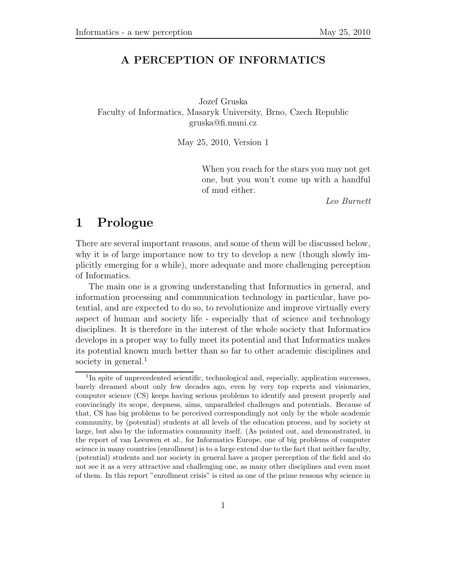## **A PERCEPTION OF INFORMATICS**

Jozef Gruska Faculty of Informatics, Masaryk University, Brno, Czech Republic gruska@fi.muni.cz

May 25, 2010, Version 1

When you reach for the stars you may not get one, but you won't come up with a handful of mud either.

*Leo Burnett*

# **1 Prologue**

There are several important reasons, and some of them will be discussed below, why it is of large importance now to try to develop a new (though slowly implicitly emerging for a while), more adequate and more challenging perception of Informatics.

The main one is a growing understanding that Informatics in general, and information processing and communication technology in particular, have potential, and are expected to do so, to revolutionize and improve virtually every aspect of human and society life - especially that of science and technology disciplines. It is therefore in the interest of the whole society that Informatics develops in a proper way to fully meet its potential and that Informatics makes its potential known much better than so far to other academic disciplines and society in general.<sup>1</sup>

<sup>&</sup>lt;sup>1</sup>In spite of unprecedented scientific, technological and, especially, application successes, barely dreamed about only few decades ago, even by very top experts and visionaries, computer science (CS) keeps having serious problems to identify and present properly and convincingly its scope, deepness, aims, unparalleled challenges and potentials. Because of that, CS has big problems to be perceived correspondingly not only by the whole academic community, by (potential) students at all levels of the education process, and by society at large, but also by the informatics community itself. (As pointed out, and demonstrated, in the report of van Leeuwen et al., for Informatics Europe, one of big problems of computer science in many countries (enrollment) is to a large extend due to the fact that neither faculty, (potential) students and nor society in general have a proper perception of the field and do not see it as a very attractive and challenging one, as many other disciplines and even most of them. In this report "enrollment crisis" is cited as one of the prime reasons why science in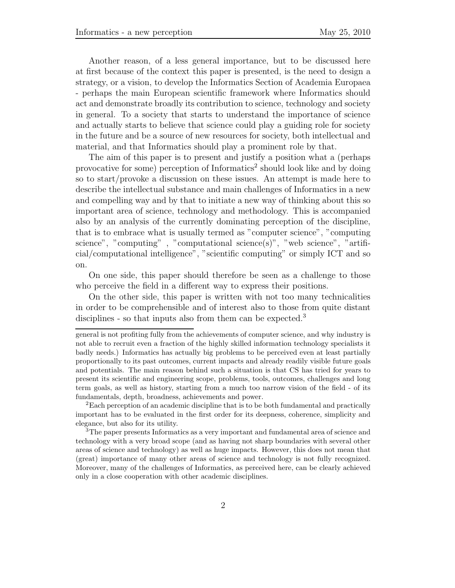Another reason, of a less general importance, but to be discussed here at first because of the context this paper is presented, is the need to design a strategy, or a vision, to develop the Informatics Section of Academia Europaea - perhaps the main European scientific framework where Informatics should act and demonstrate broadly its contribution to science, technology and society in general. To a society that starts to understand the importance of science and actually starts to believe that science could play a guiding role for society in the future and be a source of new resources for society, both intellectual and material, and that Informatics should play a prominent role by that.

The aim of this paper is to present and justify a position what a (perhaps provocative for some) perception of Informatics<sup>2</sup> should look like and by doing so to start/provoke a discussion on these issues. An attempt is made here to describe the intellectual substance and main challenges of Informatics in a new and compelling way and by that to initiate a new way of thinking about this so important area of science, technology and methodology. This is accompanied also by an analysis of the currently dominating perception of the discipline, that is to embrace what is usually termed as "computer science", "computing science", "computing", "computational science $(s)$ ", "web science", "artificial/computational intelligence", "scientific computing" or simply ICT and so on.

On one side, this paper should therefore be seen as a challenge to those who perceive the field in a different way to express their positions.

On the other side, this paper is written with not too many technicalities in order to be comprehensible and of interest also to those from quite distant disciplines - so that inputs also from them can be expected.<sup>3</sup>

<sup>2</sup>Each perception of an academic discipline that is to be both fundamental and practically important has to be evaluated in the first order for its deepness, coherence, simplicity and elegance, but also for its utility.

<sup>3</sup>The paper presents Informatics as a very important and fundamental area of science and technology with a very broad scope (and as having not sharp boundaries with several other areas of science and technology) as well as huge impacts. However, this does not mean that (great) importance of many other areas of science and technology is not fully recognized. Moreover, many of the challenges of Informatics, as perceived here, can be clearly achieved only in a close cooperation with other academic disciplines.

general is not profiting fully from the achievements of computer science, and why industry is not able to recruit even a fraction of the highly skilled information technology specialists it badly needs.) Informatics has actually big problems to be perceived even at least partially proportionally to its past outcomes, current impacts and already readily visible future goals and potentials. The main reason behind such a situation is that CS has tried for years to present its scientific and engineering scope, problems, tools, outcomes, challenges and long term goals, as well as history, starting from a much too narrow vision of the field - of its fundamentals, depth, broadness, achievements and power.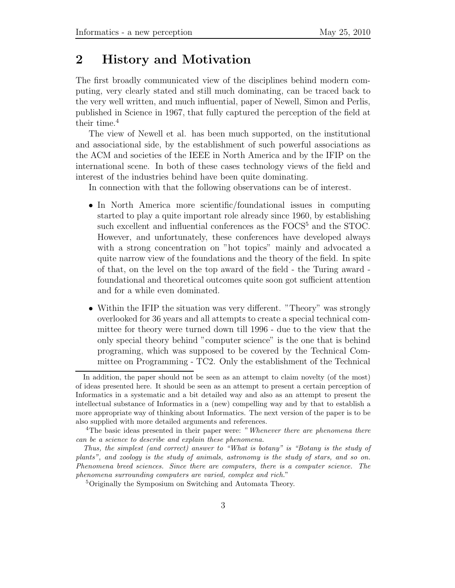# **2 History and Motivation**

The first broadly communicated view of the disciplines behind modern computing, very clearly stated and still much dominating, can be traced back to the very well written, and much influential, paper of Newell, Simon and Perlis, published in Science in 1967, that fully captured the perception of the field at their time.<sup>4</sup>

The view of Newell et al. has been much supported, on the institutional and associational side, by the establishment of such powerful associations as the ACM and societies of the IEEE in North America and by the IFIP on the international scene. In both of these cases technology views of the field and interest of the industries behind have been quite dominating.

In connection with that the following observations can be of interest.

- In North America more scientific/foundational issues in computing started to play a quite important role already since 1960, by establishing such excellent and influential conferences as the FOCS<sup>5</sup> and the STOC. However, and unfortunately, these conferences have developed always with a strong concentration on "hot topics" mainly and advocated a quite narrow view of the foundations and the theory of the field. In spite of that, on the level on the top award of the field - the Turing award foundational and theoretical outcomes quite soon got sufficient attention and for a while even dominated.
- Within the IFIP the situation was very different. "Theory" was strongly overlooked for 36 years and all attempts to create a special technical committee for theory were turned down till 1996 - due to the view that the only special theory behind "computer science" is the one that is behind programing, which was supposed to be covered by the Technical Committee on Programming - TC2. Only the establishment of the Technical

In addition, the paper should not be seen as an attempt to claim novelty (of the most) of ideas presented here. It should be seen as an attempt to present a certain perception of Informatics in a systematic and a bit detailed way and also as an attempt to present the intellectual substance of Informatics in a (new) compelling way and by that to establish a more appropriate way of thinking about Informatics. The next version of the paper is to be also supplied with more detailed arguments and references.

<sup>4</sup>The basic ideas presented in their paper were: "*Whenever there are phenomena there can be a science to describe and explain these phenomena.*

*Thus, the simplest (and correct) answer to "What is botany" is "Botany is the study of plants", and zoology is the study of animals, astronomy is the study of stars, and so on. Phenomena breed sciences. Since there are computers, there is a computer science. The phenomena surrounding computers are varied, complex and rich.*"

<sup>5</sup>Originally the Symposium on Switching and Automata Theory.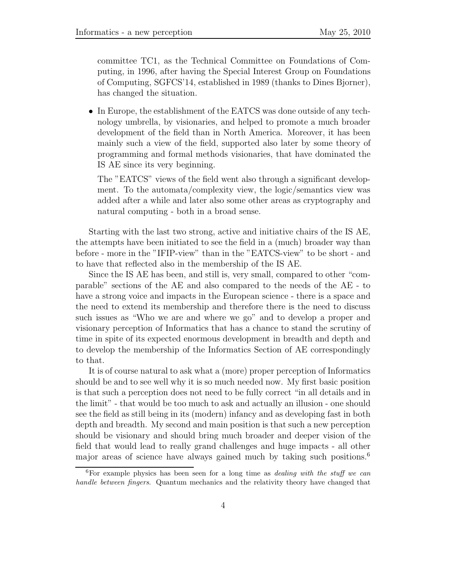committee TC1, as the Technical Committee on Foundations of Computing, in 1996, after having the Special Interest Group on Foundations of Computing, SGFCS'14, established in 1989 (thanks to Dines Bjorner), has changed the situation.

*•* In Europe, the establishment of the EATCS was done outside of any technology umbrella, by visionaries, and helped to promote a much broader development of the field than in North America. Moreover, it has been mainly such a view of the field, supported also later by some theory of programming and formal methods visionaries, that have dominated the IS AE since its very beginning.

The "EATCS" views of the field went also through a significant development. To the automata/complexity view, the logic/semantics view was added after a while and later also some other areas as cryptography and natural computing - both in a broad sense.

Starting with the last two strong, active and initiative chairs of the IS AE, the attempts have been initiated to see the field in a (much) broader way than before - more in the "IFIP-view" than in the "EATCS-view" to be short - and to have that reflected also in the membership of the IS AE.

Since the IS AE has been, and still is, very small, compared to other "comparable" sections of the AE and also compared to the needs of the AE - to have a strong voice and impacts in the European science - there is a space and the need to extend its membership and therefore there is the need to discuss such issues as "Who we are and where we go" and to develop a proper and visionary perception of Informatics that has a chance to stand the scrutiny of time in spite of its expected enormous development in breadth and depth and to develop the membership of the Informatics Section of AE correspondingly to that.

It is of course natural to ask what a (more) proper perception of Informatics should be and to see well why it is so much needed now. My first basic position is that such a perception does not need to be fully correct "in all details and in the limit" - that would be too much to ask and actually an illusion - one should see the field as still being in its (modern) infancy and as developing fast in both depth and breadth. My second and main position is that such a new perception should be visionary and should bring much broader and deeper vision of the field that would lead to really grand challenges and huge impacts - all other major areas of science have always gained much by taking such positions.<sup>6</sup>

<sup>6</sup>For example physics has been seen for a long time as *dealing with the stuff we can handle between fingers*. Quantum mechanics and the relativity theory have changed that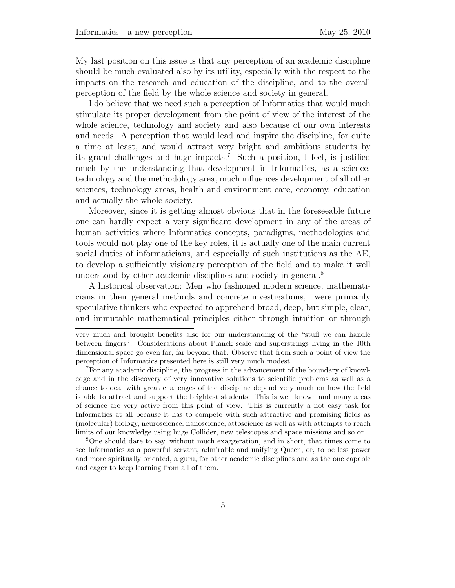My last position on this issue is that any perception of an academic discipline should be much evaluated also by its utility, especially with the respect to the impacts on the research and education of the discipline, and to the overall perception of the field by the whole science and society in general.

I do believe that we need such a perception of Informatics that would much stimulate its proper development from the point of view of the interest of the whole science, technology and society and also because of our own interests and needs. A perception that would lead and inspire the discipline, for quite a time at least, and would attract very bright and ambitious students by its grand challenges and huge impacts.<sup>7</sup> Such a position, I feel, is justified much by the understanding that development in Informatics, as a science, technology and the methodology area, much influences development of all other sciences, technology areas, health and environment care, economy, education and actually the whole society.

Moreover, since it is getting almost obvious that in the foreseeable future one can hardly expect a very significant development in any of the areas of human activities where Informatics concepts, paradigms, methodologies and tools would not play one of the key roles, it is actually one of the main current social duties of informaticians, and especially of such institutions as the AE, to develop a sufficiently visionary perception of the field and to make it well understood by other academic disciplines and society in general.<sup>8</sup>

A historical observation: Men who fashioned modern science, mathematicians in their general methods and concrete investigations, were primarily speculative thinkers who expected to apprehend broad, deep, but simple, clear, and immutable mathematical principles either through intuition or through

<sup>8</sup>One should dare to say, without much exaggeration, and in short, that times come to see Informatics as a powerful servant, admirable and unifying Queen, or, to be less power and more spiritually oriented, a guru, for other academic disciplines and as the one capable and eager to keep learning from all of them.

very much and brought benefits also for our understanding of the "stuff we can handle between fingers". Considerations about Planck scale and superstrings living in the 10th dimensional space go even far, far beyond that. Observe that from such a point of view the perception of Informatics presented here is still very much modest.

<sup>7</sup>For any academic discipline, the progress in the advancement of the boundary of knowledge and in the discovery of very innovative solutions to scientific problems as well as a chance to deal with great challenges of the discipline depend very much on how the field is able to attract and support the brightest students. This is well known and many areas of science are very active from this point of view. This is currently a not easy task for Informatics at all because it has to compete with such attractive and promising fields as (molecular) biology, neuroscience, nanoscience, attoscience as well as with attempts to reach limits of our knowledge using huge Collider, new telescopes and space missions and so on.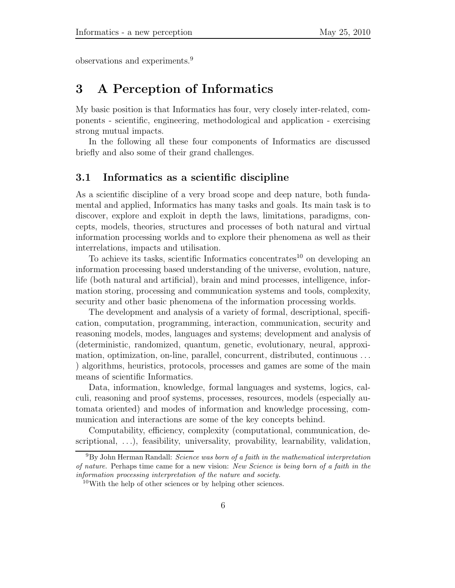observations and experiments.<sup>9</sup>

# **3 A Perception of Informatics**

My basic position is that Informatics has four, very closely inter-related, components - scientific, engineering, methodological and application - exercising strong mutual impacts.

In the following all these four components of Informatics are discussed briefly and also some of their grand challenges.

### **3.1 Informatics as a scientific discipline**

As a scientific discipline of a very broad scope and deep nature, both fundamental and applied, Informatics has many tasks and goals. Its main task is to discover, explore and exploit in depth the laws, limitations, paradigms, concepts, models, theories, structures and processes of both natural and virtual information processing worlds and to explore their phenomena as well as their interrelations, impacts and utilisation.

To achieve its tasks, scientific Informatics concentrates<sup>10</sup> on developing an information processing based understanding of the universe, evolution, nature, life (both natural and artificial), brain and mind processes, intelligence, information storing, processing and communication systems and tools, complexity, security and other basic phenomena of the information processing worlds.

The development and analysis of a variety of formal, descriptional, specification, computation, programming, interaction, communication, security and reasoning models, modes, languages and systems; development and analysis of (deterministic, randomized, quantum, genetic, evolutionary, neural, approximation, optimization, on-line, parallel, concurrent, distributed, continuous *...* ) algorithms, heuristics, protocols, processes and games are some of the main means of scientific Informatics.

Data, information, knowledge, formal languages and systems, logics, calculi, reasoning and proof systems, processes, resources, models (especially automata oriented) and modes of information and knowledge processing, communication and interactions are some of the key concepts behind.

Computability, efficiency, complexity (computational, communication, descriptional, *...*), feasibility, universality, provability, learnability, validation,

<sup>9</sup>By John Herman Randall: *Science was born of a faith in the mathematical interpretation of nature.* Perhaps time came for a new vision: *New Science is being born of a faith in the information processing interpretation of the nature and society.*

 $10$ With the help of other sciences or by helping other sciences.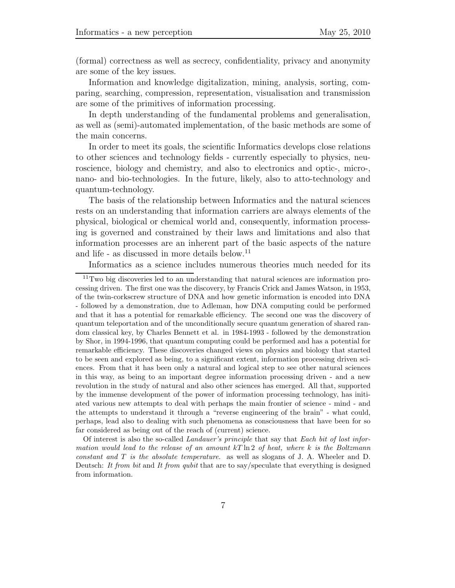(formal) correctness as well as secrecy, confidentiality, privacy and anonymity are some of the key issues.

Information and knowledge digitalization, mining, analysis, sorting, comparing, searching, compression, representation, visualisation and transmission are some of the primitives of information processing.

In depth understanding of the fundamental problems and generalisation, as well as (semi)-automated implementation, of the basic methods are some of the main concerns.

In order to meet its goals, the scientific Informatics develops close relations to other sciences and technology fields - currently especially to physics, neuroscience, biology and chemistry, and also to electronics and optic-, micro-, nano- and bio-technologies. In the future, likely, also to atto-technology and quantum-technology.

The basis of the relationship between Informatics and the natural sciences rests on an understanding that information carriers are always elements of the physical, biological or chemical world and, consequently, information processing is governed and constrained by their laws and limitations and also that information processes are an inherent part of the basic aspects of the nature and life - as discussed in more details below.<sup>11</sup>

Informatics as a science includes numerous theories much needed for its

Of interest is also the so-called *Landauer's principle* that say that *Each bit of lost information would lead to the release of an amount* kT ln 2 *of heat, where* k *is the Boltzmann constant and* T *is the absolute temperature.* as well as slogans of J. A. Wheeler and D. Deutsch: *It from bit* and *It from qubit* that are to say/speculate that everything is designed from information.

<sup>11</sup>Two big discoveries led to an understanding that natural sciences are information processing driven. The first one was the discovery, by Francis Crick and James Watson, in 1953, of the twin-corkscrew structure of DNA and how genetic information is encoded into DNA - followed by a demonstration, due to Adleman, how DNA computing could be performed and that it has a potential for remarkable efficiency. The second one was the discovery of quantum teleportation and of the unconditionally secure quantum generation of shared random classical key, by Charles Bennett et al. in 1984-1993 - followed by the demonstration by Shor, in 1994-1996, that quantum computing could be performed and has a potential for remarkable efficiency. These discoveries changed views on physics and biology that started to be seen and explored as being, to a significant extent, information processing driven sciences. From that it has been only a natural and logical step to see other natural sciences in this way, as being to an important degree information processing driven - and a new revolution in the study of natural and also other sciences has emerged. All that, supported by the immense development of the power of information processing technology, has initiated various new attempts to deal with perhaps the main frontier of science - mind - and the attempts to understand it through a "reverse engineering of the brain" - what could, perhaps, lead also to dealing with such phenomena as consciousness that have been for so far considered as being out of the reach of (current) science.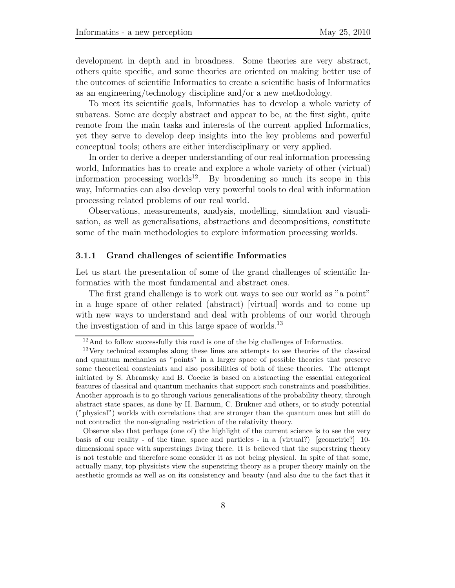development in depth and in broadness. Some theories are very abstract, others quite specific, and some theories are oriented on making better use of the outcomes of scientific Informatics to create a scientific basis of Informatics as an engineering/technology discipline and/or a new methodology.

To meet its scientific goals, Informatics has to develop a whole variety of subareas. Some are deeply abstract and appear to be, at the first sight, quite remote from the main tasks and interests of the current applied Informatics, yet they serve to develop deep insights into the key problems and powerful conceptual tools; others are either interdisciplinary or very applied.

In order to derive a deeper understanding of our real information processing world, Informatics has to create and explore a whole variety of other (virtual) information processing worlds<sup>12</sup>. By broadening so much its scope in this way, Informatics can also develop very powerful tools to deal with information processing related problems of our real world.

Observations, measurements, analysis, modelling, simulation and visualisation, as well as generalisations, abstractions and decompositions, constitute some of the main methodologies to explore information processing worlds.

#### **3.1.1 Grand challenges of scientific Informatics**

Let us start the presentation of some of the grand challenges of scientific Informatics with the most fundamental and abstract ones.

The first grand challenge is to work out ways to see our world as "a point" in a huge space of other related (abstract) [virtual] words and to come up with new ways to understand and deal with problems of our world through the investigation of and in this large space of worlds.<sup>13</sup>

Observe also that perhaps (one of) the highlight of the current science is to see the very basis of our reality - of the time, space and particles - in a (virtual?) [geometric?] 10 dimensional space with superstrings living there. It is believed that the superstring theory is not testable and therefore some consider it as not being physical. In spite of that some, actually many, top physicists view the superstring theory as a proper theory mainly on the aesthetic grounds as well as on its consistency and beauty (and also due to the fact that it

<sup>&</sup>lt;sup>12</sup>And to follow successfully this road is one of the big challenges of Informatics.

<sup>&</sup>lt;sup>13</sup>Very technical examples along these lines are attempts to see theories of the classical and quantum mechanics as "points" in a larger space of possible theories that preserve some theoretical constraints and also possibilities of both of these theories. The attempt initiated by S. Abramsky and B. Coecke is based on abstracting the essential categorical features of classical and quantum mechanics that support such constraints and possibilities. Another approach is to go through various generalisations of the probability theory, through abstract state spaces, as done by H. Barnum, C. Brukner and others, or to study potential ("physical") worlds with correlations that are stronger than the quantum ones but still do not contradict the non-signaling restriction of the relativity theory.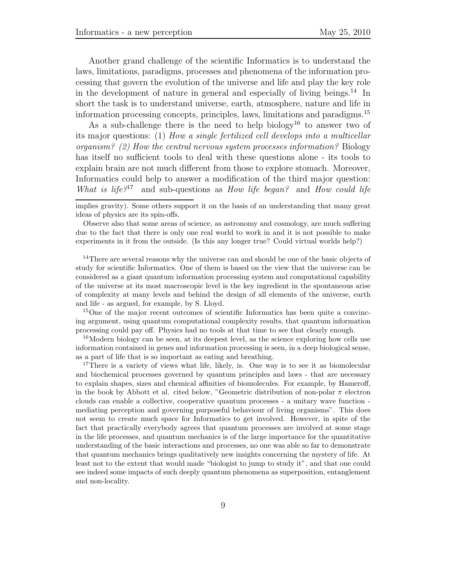Another grand challenge of the scientific Informatics is to understand the laws, limitations, paradigms, processes and phenomena of the information processing that govern the evolution of the universe and life and play the key role in the development of nature in general and especially of living beings.<sup>14</sup> In short the task is to understand universe, earth, atmosphere, nature and life in information processing concepts, principles, laws, limitations and paradigms.<sup>15</sup>

As a sub-challenge there is the need to help biology<sup>16</sup> to answer two of its major questions: (1) *How a single fertilized cell develops into a multicellar organism? (2) How the central nervous system processes information?* Biology has itself no sufficient tools to deal with these questions alone - its tools to explain brain are not much different from those to explore stomach. Moreover, Informatics could help to answer a modification of the third major question: *What is life?*<sup>17</sup> and sub-questions as *How life began?* and *How could life*

implies gravity). Some others support it on the basis of an understanding that many great ideas of physics are its spin-offs.

Observe also that some areas of science, as astronomy and cosmology, are much suffering due to the fact that there is only one real world to work in and it is not possible to make experiments in it from the outside. (Is this any longer true? Could virtual worlds help?)

<sup>14</sup>There are several reasons why the universe can and should be one of the basic objects of study for scientific Informatics. One of them is based on the view that the universe can be considered as a giant quantum information processing system and computational capability of the universe at its most macroscopic level is the key ingredient in the spontaneous arise of complexity at many levels and behind the design of all elements of the universe, earth and life - as argued, for example, by S. Lloyd.

<sup>15</sup>One of the major recent outcomes of scientific Informatics has been quite a convincing argument, using quantum computational complexity results, that quantum information processing could pay off. Physics had no tools at that time to see that clearly enough.

<sup>16</sup>Modern biology can be seen, at its deepest level, as the science exploring how cells use information contained in genes and information processing is seen, in a deep biological sense, as a part of life that is so important as eating and breathing.

<sup>17</sup>There is a variety of views what life, likely, is. One way is to see it as biomolecular and biochemical processes governed by quantum principles and laws - that are necessary to explain shapes, sizes and chemical affinities of biomolecules. For example, by Hameroff, in the book by Abbott et al. cited below, "Geometric distribution of non-polar  $\pi$  electron clouds can enable a collective, cooperative quantum processes - a unitary wave function mediating perception and governing purposeful behaviour of living organisms". This does not seem to create much space for Informatics to get involved. However, in spite of the fact that practically everybody agrees that quantum processes are involved at some stage in the life processes, and quantum mechanics is of the large importance for the quantitative understanding of the basic interactions and processes, no one was able so far to demonstrate that quantum mechanics brings qualitatively new insights concerning the mystery of life. At least not to the extent that would made "biologist to jump to study it", and that one could see indeed some impacts of such deeply quantum phenomena as superposition, entanglement and non-locality.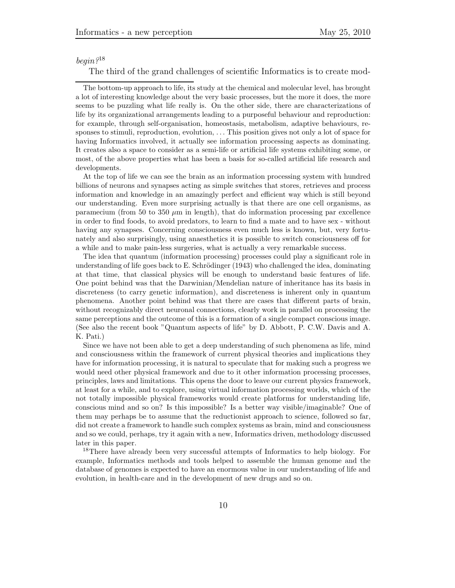### *begin?*<sup>18</sup>

The third of the grand challenges of scientific Informatics is to create mod-

The bottom-up approach to life, its study at the chemical and molecular level, has brought a lot of interesting knowledge about the very basic processes, but the more it does, the more seems to be puzzling what life really is. On the other side, there are characterizations of life by its organizational arrangements leading to a purposeful behaviour and reproduction: for example, through self-organisation, homeostasis, metabolism, adaptive behaviours, responses to stimuli, reproduction, evolution, ... This position gives not only a lot of space for having Informatics involved, it actually see information processing aspects as dominating. It creates also a space to consider as a semi-life or artificial life systems exhibiting some, or most, of the above properties what has been a basis for so-called artificial life research and developments.

At the top of life we can see the brain as an information processing system with hundred billions of neurons and synapses acting as simple switches that stores, retrieves and process information and knowledge in an amazingly perfect and efficient way which is still beyond our understanding. Even more surprising actually is that there are one cell organisms, as paramecium (from 50 to 350  $\mu$ m in length), that do information processing par excellence in order to find foods, to avoid predators, to learn to find a mate and to have sex - without having any synapses. Concerning consciousness even much less is known, but, very fortunately and also surprisingly, using anaesthetics it is possible to switch consciousness off for a while and to make pain-less surgeries, what is actually a very remarkable success.

The idea that quantum (information processing) processes could play a significant role in understanding of life goes back to E. Schrödinger  $(1943)$  who challenged the idea, dominating at that time, that classical physics will be enough to understand basic features of life. One point behind was that the Darwinian/Mendelian nature of inheritance has its basis in discreteness (to carry genetic information), and discreteness is inherent only in quantum phenomena. Another point behind was that there are cases that different parts of brain, without recognizably direct neuronal connections, clearly work in parallel on processing the same perceptions and the outcome of this is a formation of a single compact conscious image. (See also the recent book "Quantum aspects of life" by D. Abbott, P. C.W. Davis and A. K. Pati.)

Since we have not been able to get a deep understanding of such phenomena as life, mind and consciousness within the framework of current physical theories and implications they have for information processing, it is natural to speculate that for making such a progress we would need other physical framework and due to it other information processing processes, principles, laws and limitations. This opens the door to leave our current physics framework, at least for a while, and to explore, using virtual information processing worlds, which of the not totally impossible physical frameworks would create platforms for understanding life, conscious mind and so on? Is this impossible? Is a better way visible/imaginable? One of them may perhaps be to assume that the reductionist approach to science, followed so far, did not create a framework to handle such complex systems as brain, mind and consciousness and so we could, perhaps, try it again with a new, Informatics driven, methodology discussed later in this paper.

<sup>18</sup>There have already been very successful attempts of Informatics to help biology. For example, Informatics methods and tools helped to assemble the human genome and the database of genomes is expected to have an enormous value in our understanding of life and evolution, in health-care and in the development of new drugs and so on.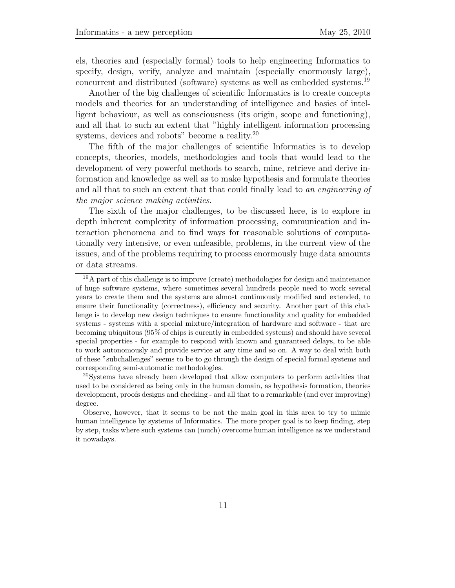els, theories and (especially formal) tools to help engineering Informatics to specify, design, verify, analyze and maintain (especially enormously large), concurrent and distributed (software) systems as well as embedded systems.<sup>19</sup>

Another of the big challenges of scientific Informatics is to create concepts models and theories for an understanding of intelligence and basics of intelligent behaviour, as well as consciousness (its origin, scope and functioning), and all that to such an extent that "highly intelligent information processing systems, devices and robots" become a reality.<sup>20</sup>

The fifth of the major challenges of scientific Informatics is to develop concepts, theories, models, methodologies and tools that would lead to the development of very powerful methods to search, mine, retrieve and derive information and knowledge as well as to make hypothesis and formulate theories and all that to such an extent that that could finally lead to *an engineering of the major science making activities*.

The sixth of the major challenges, to be discussed here, is to explore in depth inherent complexity of information processing, communication and interaction phenomena and to find ways for reasonable solutions of computationally very intensive, or even unfeasible, problems, in the current view of the issues, and of the problems requiring to process enormously huge data amounts or data streams.

 $19A$  part of this challenge is to improve (create) methodologies for design and maintenance of huge software systems, where sometimes several hundreds people need to work several years to create them and the systems are almost continuously modified and extended, to ensure their functionality (correctness), efficiency and security. Another part of this challenge is to develop new design techniques to ensure functionality and quality for embedded systems - systems with a special mixture/integration of hardware and software - that are becoming ubiquitous (95% of chips is curently in embedded systems) and should have several special properties - for example to respond with known and guaranteed delays, to be able to work autonomously and provide service at any time and so on. A way to deal with both of these "subchallenges" seems to be to go through the design of special formal systems and corresponding semi-automatic methodologies.

<sup>20</sup>Systems have already been developed that allow computers to perform activities that used to be considered as being only in the human domain, as hypothesis formation, theories development, proofs designs and checking - and all that to a remarkable (and ever improving) degree.

Observe, however, that it seems to be not the main goal in this area to try to mimic human intelligence by systems of Informatics. The more proper goal is to keep finding, step by step, tasks where such systems can (much) overcome human intelligence as we understand it nowadays.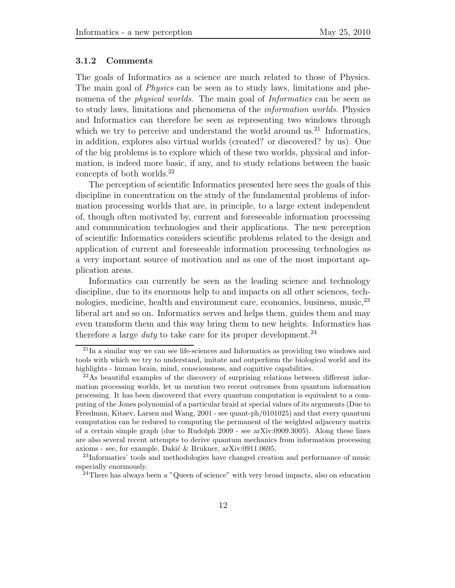#### **3.1.2 Comments**

The goals of Informatics as a science are much related to those of Physics. The main goal of *Physics* can be seen as to study laws, limitations and phenomena of the *physical worlds*. The main goal of *Informatics* can be seen as to study laws, limitations and phenomena of the *information worlds*. Physics and Informatics can therefore be seen as representing two windows through which we try to perceive and understand the world around us. $^{21}$  Informatics, in addition, explores also virtual worlds (created? or discovered? by us). One of the big problems is to explore which of these two worlds, physical and information, is indeed more basic, if any, and to study relations between the basic concepts of both worlds.<sup>22</sup>

The perception of scientific Informatics presented here sees the goals of this discipline in concentration on the study of the fundamental problems of information processing worlds that are, in principle, to a large extent independent of, though often motivated by, current and foreseeable information processing and communication technologies and their applications. The new perception of scientific Informatics considers scientific problems related to the design and application of current and foreseeable information processing technologies as a very important source of motivation and as one of the most important application areas.

Informatics can currently be seen as the leading science and technology discipline, due to its enormous help to and impacts on all other sciences, technologies, medicine, health and environment care, economics, business, music, <sup>23</sup> liberal art and so on. Informatics serves and helps them, guides them and may even transform them and this way bring them to new heights. Informatics has therefore a large *duty* to take care for its proper development.<sup>24</sup>

<sup>21</sup>In a similar way we can see life-sciences and Informatics as providing two windows and tools with which we try to understand, imitate and outperform the biological world and its highlights - human brain, mind, consciousness, and cognitive capabilities.

 $^{22}$ As beautiful examples of the discovery of surprising relations between different information processing worlds, let us mention two recent outcomes from quantum information processing. It has been discovered that every quantum computation is equivalent to a computing of the Jones polynomial of a particular braid at special values of its arguments (Due to Freedman, Kitaev, Larsen and Wang, 2001 - see quant-ph/0101025) and that every quantum computation can be reduced to computing the permanent of the weighted adjacency matrix of a certain simple graph (due to Rudolph 2009 - see arXiv:0909.3005). Along these lines are also several recent attempts to derive quantum mechanics from information processing axioms - see, for example, Dakić & Brukner, arXiv:0911.0695.

<sup>23</sup>Informatics' tools and methodologies have changed creation and performance of music especially enormously.

 $24$ There has always been a "Queen of science" with very broad impacts, also on education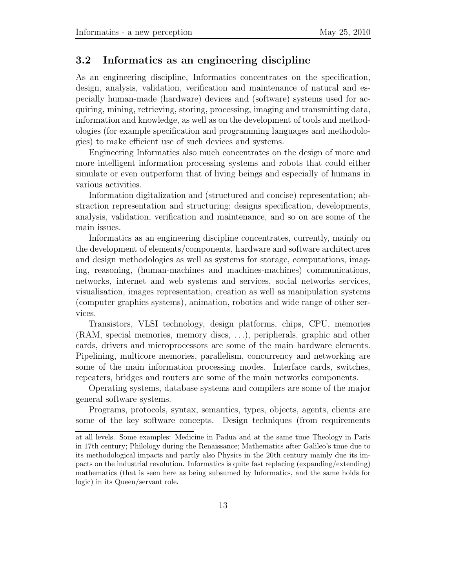### **3.2 Informatics as an engineering discipline**

As an engineering discipline, Informatics concentrates on the specification, design, analysis, validation, verification and maintenance of natural and especially human-made (hardware) devices and (software) systems used for acquiring, mining, retrieving, storing, processing, imaging and transmitting data, information and knowledge, as well as on the development of tools and methodologies (for example specification and programming languages and methodologies) to make efficient use of such devices and systems.

Engineering Informatics also much concentrates on the design of more and more intelligent information processing systems and robots that could either simulate or even outperform that of living beings and especially of humans in various activities.

Information digitalization and (structured and concise) representation; abstraction representation and structuring; designs specification, developments, analysis, validation, verification and maintenance, and so on are some of the main issues.

Informatics as an engineering discipline concentrates, currently, mainly on the development of elements/components, hardware and software architectures and design methodologies as well as systems for storage, computations, imaging, reasoning, (human-machines and machines-machines) communications, networks, internet and web systems and services, social networks services, visualisation, images representation, creation as well as manipulation systems (computer graphics systems), animation, robotics and wide range of other services.

Transistors, VLSI technology, design platforms, chips, CPU, memories (RAM, special memories, memory discs, *...*), peripherals, graphic and other cards, drivers and microprocessors are some of the main hardware elements. Pipelining, multicore memories, parallelism, concurrency and networking are some of the main information processing modes. Interface cards, switches, repeaters, bridges and routers are some of the main networks components.

Operating systems, database systems and compilers are some of the major general software systems.

Programs, protocols, syntax, semantics, types, objects, agents, clients are some of the key software concepts. Design techniques (from requirements

at all levels. Some examples: Medicine in Padua and at the same time Theology in Paris in 17th century; Philology during the Renaissance; Mathematics after Galileo's time due to its methodological impacts and partly also Physics in the 20th century mainly due its impacts on the industrial revolution. Informatics is quite fast replacing (expanding/extending) mathematics (that is seen here as being subsumed by Informatics, and the same holds for logic) in its Queen/servant role.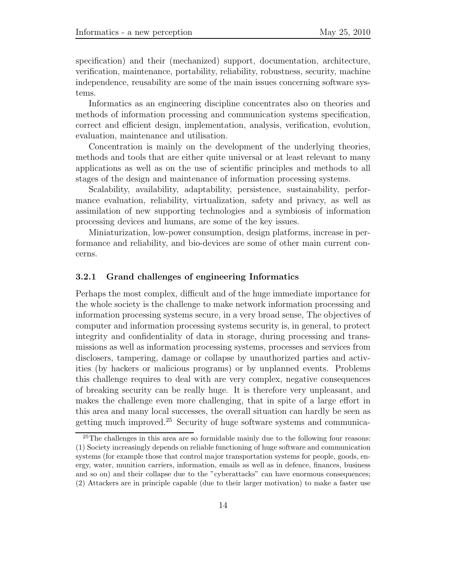specification) and their (mechanized) support, documentation, architecture, verification, maintenance, portability, reliability, robustness, security, machine independence, reusability are some of the main issues concerning software systems.

Informatics as an engineering discipline concentrates also on theories and methods of information processing and communication systems specification, correct and efficient design, implementation, analysis, verification, evolution, evaluation, maintenance and utilisation.

Concentration is mainly on the development of the underlying theories, methods and tools that are either quite universal or at least relevant to many applications as well as on the use of scientific principles and methods to all stages of the design and maintenance of information processing systems.

Scalability, availability, adaptability, persistence, sustainability, performance evaluation, reliability, virtualization, safety and privacy, as well as assimilation of new supporting technologies and a symbiosis of information processing devices and humans, are some of the key issues.

Miniaturization, low-power consumption, design platforms, increase in performance and reliability, and bio-devices are some of other main current concerns.

#### **3.2.1 Grand challenges of engineering Informatics**

Perhaps the most complex, difficult and of the huge immediate importance for the whole society is the challenge to make network information processing and information processing systems secure, in a very broad sense, The objectives of computer and information processing systems security is, in general, to protect integrity and confidentiality of data in storage, during processing and transmissions as well as information processing systems, processes and services from disclosers, tampering, damage or collapse by unauthorized parties and activities (by hackers or malicious programs) or by unplanned events. Problems this challenge requires to deal with are very complex, negative consequences of breaking security can be really huge. It is therefore very unpleasant, and makes the challenge even more challenging, that in spite of a large effort in this area and many local successes, the overall situation can hardly be seen as getting much improved.<sup>25</sup> Security of huge software systems and communica-

<sup>&</sup>lt;sup>25</sup>The challenges in this area are so formidable mainly due to the following four reasons: (1) Society increasingly depends on reliable functioning of huge software and communication systems (for example those that control major transportation systems for people, goods, energy, water, munition carriers, information, emails as well as in defence, finances, business and so on) and their collapse due to the "cyberattacks" can have enormous consequences; (2) Attackers are in principle capable (due to their larger motivation) to make a faster use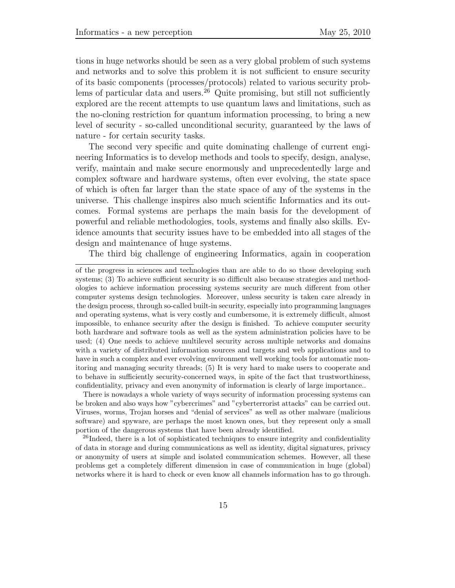tions in huge networks should be seen as a very global problem of such systems and networks and to solve this problem it is not sufficient to ensure security of its basic components (processes/protocols) related to various security problems of particular data and users.<sup>26</sup> Quite promising, but still not sufficiently explored are the recent attempts to use quantum laws and limitations, such as the no-cloning restriction for quantum information processing, to bring a new level of security - so-called unconditional security, guaranteed by the laws of nature - for certain security tasks.

The second very specific and quite dominating challenge of current engineering Informatics is to develop methods and tools to specify, design, analyse, verify, maintain and make secure enormously and unprecedentedly large and complex software and hardware systems, often ever evolving, the state space of which is often far larger than the state space of any of the systems in the universe. This challenge inspires also much scientific Informatics and its outcomes. Formal systems are perhaps the main basis for the development of powerful and reliable methodologies, tools, systems and finally also skills. Evidence amounts that security issues have to be embedded into all stages of the design and maintenance of huge systems.

The third big challenge of engineering Informatics, again in cooperation

There is nowadays a whole variety of ways security of information processing systems can be broken and also ways how "cybercrimes" and "cyberterrorist attacks" can be carried out. Viruses, worms, Trojan horses and "denial of services" as well as other malware (malicious software) and spyware, are perhaps the most known ones, but they represent only a small portion of the dangerous systems that have been already identified.

<sup>26</sup>Indeed, there is a lot of sophisticated techniques to ensure integrity and confidentiality of data in storage and during communications as well as identity, digital signatures, privacy or anonymity of users at simple and isolated communication schemes. However, all these problems get a completely different dimension in case of communication in huge (global) networks where it is hard to check or even know all channels information has to go through.

of the progress in sciences and technologies than are able to do so those developing such systems; (3) To achieve sufficient security is so difficult also because strategies and methodologies to achieve information processing systems security are much different from other computer systems design technologies. Moreover, unless security is taken care already in the design process, through so-called built-in security, especially into programming languages and operating systems, what is very costly and cumbersome, it is extremely difficult, almost impossible, to enhance security after the design is finished. To achieve computer security both hardware and software tools as well as the system administration policies have to be used; (4) One needs to achieve multilevel security across multiple networks and domains with a variety of distributed information sources and targets and web applications and to have in such a complex and ever evolving environment well working tools for automatic monitoring and managing security threads; (5) It is very hard to make users to cooperate and to behave in sufficiently security-concerned ways, in spite of the fact that trustworthiness, confidentiality, privacy and even anonymity of information is clearly of large importance..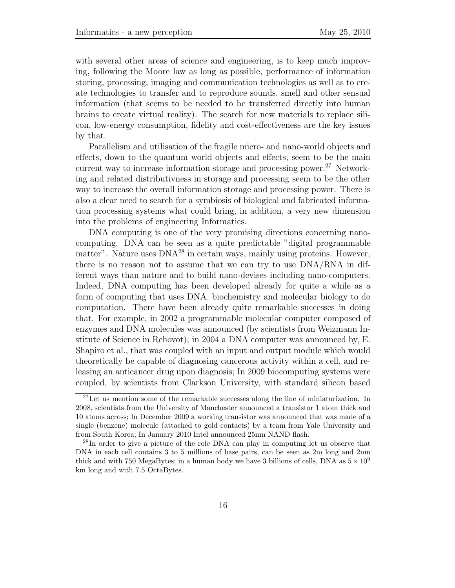with several other areas of science and engineering, is to keep much improving, following the Moore law as long as possible, performance of information storing, processing, imaging and communication technologies as well as to create technologies to transfer and to reproduce sounds, smell and other sensual information (that seems to be needed to be transferred directly into human brains to create virtual reality). The search for new materials to replace silicon, low-energy consumption, fidelity and cost-effectiveness are the key issues by that.

Parallelism and utilisation of the fragile micro- and nano-world objects and effects, down to the quantum world objects and effects, seem to be the main current way to increase information storage and processing power.<sup>27</sup> Networking and related distributivness in storage and processing seem to be the other way to increase the overall information storage and processing power. There is also a clear need to search for a symbiosis of biological and fabricated information processing systems what could bring, in addition, a very new dimension into the problems of engineering Informatics.

DNA computing is one of the very promising directions concerning nanocomputing. DNA can be seen as a quite predictable "digital programmable matter". Nature uses  $DNA^{28}$  in certain ways, mainly using proteins. However, there is no reason not to assume that we can try to use DNA/RNA in different ways than nature and to build nano-devises including nano-computers. Indeed, DNA computing has been developed already for quite a while as a form of computing that uses DNA, biochemistry and molecular biology to do computation. There have been already quite remarkable successes in doing that. For example, in 2002 a programmable molecular computer composed of enzymes and DNA molecules was announced (by scientists from Weizmann Institute of Science in Rehovot); in 2004 a DNA computer was announced by, E. Shapiro et al., that was coupled with an input and output module which would theoretically be capable of diagnosing cancerous activity within a cell, and releasing an anticancer drug upon diagnosis; In 2009 biocomputing systems were coupled, by scientists from Clarkson University, with standard silicon based

<sup>&</sup>lt;sup>27</sup>Let us mention some of the remarkable successes along the line of miniaturization. In 2008, scientists from the University of Manchester announced a transistor 1 atom thick and 10 atoms across; In December 2009 a working transistor was announced that was made of a single (benzene) molecule (attached to gold contacts) by a team from Yale University and from South Korea; In January 2010 Intel announced 25nm NAND flash.

<sup>&</sup>lt;sup>28</sup>In order to give a picture of the role DNA can play in computing let us observe that DNA in each cell contains 3 to 5 millions of base pairs, can be seen as 2m long and 2nm thick and with 750 MegaBytes; in a human body we have 3 billions of cells, DNA as  $5 \times 10^9$ km long and with 7.5 OctaBytes.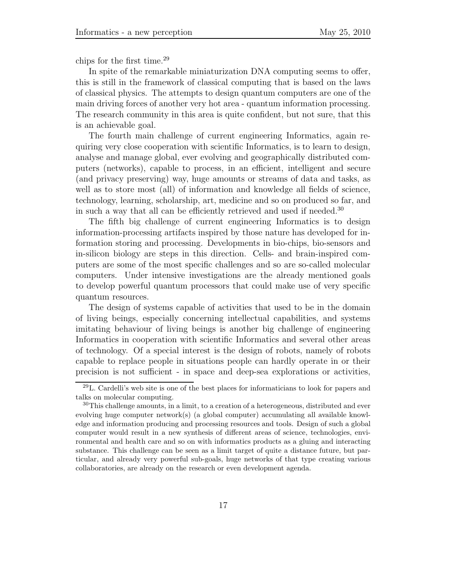chips for the first time. $^{29}$ 

In spite of the remarkable miniaturization DNA computing seems to offer, this is still in the framework of classical computing that is based on the laws of classical physics. The attempts to design quantum computers are one of the main driving forces of another very hot area - quantum information processing. The research community in this area is quite confident, but not sure, that this is an achievable goal.

The fourth main challenge of current engineering Informatics, again requiring very close cooperation with scientific Informatics, is to learn to design, analyse and manage global, ever evolving and geographically distributed computers (networks), capable to process, in an efficient, intelligent and secure (and privacy preserving) way, huge amounts or streams of data and tasks, as well as to store most (all) of information and knowledge all fields of science, technology, learning, scholarship, art, medicine and so on produced so far, and in such a way that all can be efficiently retrieved and used if needed.<sup>30</sup>

The fifth big challenge of current engineering Informatics is to design information-processing artifacts inspired by those nature has developed for information storing and processing. Developments in bio-chips, bio-sensors and in-silicon biology are steps in this direction. Cells- and brain-inspired computers are some of the most specific challenges and so are so-called molecular computers. Under intensive investigations are the already mentioned goals to develop powerful quantum processors that could make use of very specific quantum resources.

The design of systems capable of activities that used to be in the domain of living beings, especially concerning intellectual capabilities, and systems imitating behaviour of living beings is another big challenge of engineering Informatics in cooperation with scientific Informatics and several other areas of technology. Of a special interest is the design of robots, namely of robots capable to replace people in situations people can hardly operate in or their precision is not sufficient - in space and deep-sea explorations or activities,

<sup>29</sup>L. Cardelli's web site is one of the best places for informaticians to look for papers and talks on molecular computing.

<sup>&</sup>lt;sup>30</sup>This challenge amounts, in a limit, to a creation of a heterogeneous, distributed and ever evolving huge computer network(s) (a global computer) accumulating all available knowledge and information producing and processing resources and tools. Design of such a global computer would result in a new synthesis of different areas of science, technologies, environmental and health care and so on with informatics products as a gluing and interacting substance. This challenge can be seen as a limit target of quite a distance future, but particular, and already very powerful sub-goals, huge networks of that type creating various collaboratories, are already on the research or even development agenda.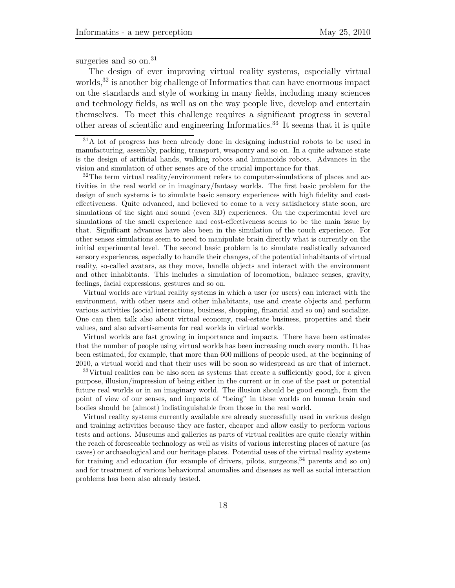surgeries and so on.<sup>31</sup>

The design of ever improving virtual reality systems, especially virtual worlds,<sup>32</sup> is another big challenge of Informatics that can have enormous impact on the standards and style of working in many fields, including many sciences and technology fields, as well as on the way people live, develop and entertain themselves. To meet this challenge requires a significant progress in several other areas of scientific and engineering Informatics.<sup>33</sup> It seems that it is quite

 $32\text{The term virtual reality}/\text{environment refers to computer-simulations of places and ac-}$ tivities in the real world or in imaginary/fantasy worlds. The first basic problem for the design of such systems is to simulate basic sensory experiences with high fidelity and costeffectiveness. Quite advanced, and believed to come to a very satisfactory state soon, are simulations of the sight and sound (even 3D) experiences. On the experimental level are simulations of the smell experience and cost-effectiveness seems to be the main issue by that. Significant advances have also been in the simulation of the touch experience. For other senses simulations seem to need to manipulate brain directly what is currently on the initial experimental level. The second basic problem is to simulate realistically advanced sensory experiences, especially to handle their changes, of the potential inhabitants of virtual reality, so-called avatars, as they move, handle objects and interact with the environment and other inhabitants. This includes a simulation of locomotion, balance senses, gravity, feelings, facial expressions, gestures and so on.

Virtual worlds are virtual reality systems in which a user (or users) can interact with the environment, with other users and other inhabitants, use and create objects and perform various activities (social interactions, business, shopping, financial and so on) and socialize. One can then talk also about virtual economy, real-estate business, properties and their values, and also advertisements for real worlds in virtual worlds.

Virtual worlds are fast growing in importance and impacts. There have been estimates that the number of people using virtual worlds has been increasing much every month. It has been estimated, for example, that more than 600 millions of people used, at the beginning of 2010, a virtual world and that their uses will be soon so widespread as are that of internet.

<sup>33</sup>Virtual realities can be also seen as systems that create a sufficiently good, for a given purpose, illusion/impression of being either in the current or in one of the past or potential future real worlds or in an imaginary world. The illusion should be good enough, from the point of view of our senses, and impacts of "being" in these worlds on human brain and bodies should be (almost) indistinguishable from those in the real world.

Virtual reality systems currently available are already successfully used in various design and training activities because they are faster, cheaper and allow easily to perform various tests and actions. Museums and galleries as parts of virtual realities are quite clearly within the reach of foreseeable technology as well as visits of various interesting places of nature (as caves) or archaeological and our heritage places. Potential uses of the virtual reality systems for training and education (for example of drivers, pilots, surgeons,  $34$  parents and so on) and for treatment of various behavioural anomalies and diseases as well as social interaction problems has been also already tested.

<sup>&</sup>lt;sup>31</sup>A lot of progress has been already done in designing industrial robots to be used in manufacturing, assembly, packing, transport, weaponry and so on. In a quite advance state is the design of artificial hands, walking robots and humanoids robots. Advances in the vision and simulation of other senses are of the crucial importance for that.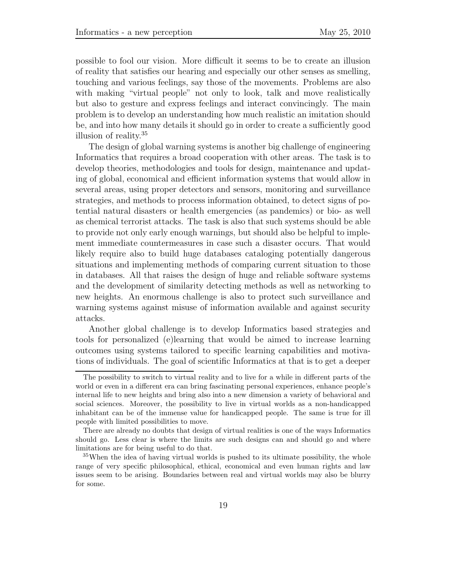possible to fool our vision. More difficult it seems to be to create an illusion of reality that satisfies our hearing and especially our other senses as smelling, touching and various feelings, say those of the movements. Problems are also with making "virtual people" not only to look, talk and move realistically but also to gesture and express feelings and interact convincingly. The main problem is to develop an understanding how much realistic an imitation should be, and into how many details it should go in order to create a sufficiently good illusion of reality.<sup>35</sup>

The design of global warning systems is another big challenge of engineering Informatics that requires a broad cooperation with other areas. The task is to develop theories, methodologies and tools for design, maintenance and updating of global, economical and efficient information systems that would allow in several areas, using proper detectors and sensors, monitoring and surveillance strategies, and methods to process information obtained, to detect signs of potential natural disasters or health emergencies (as pandemics) or bio- as well as chemical terrorist attacks. The task is also that such systems should be able to provide not only early enough warnings, but should also be helpful to implement immediate countermeasures in case such a disaster occurs. That would likely require also to build huge databases cataloging potentially dangerous situations and implementing methods of comparing current situation to those in databases. All that raises the design of huge and reliable software systems and the development of similarity detecting methods as well as networking to new heights. An enormous challenge is also to protect such surveillance and warning systems against misuse of information available and against security attacks.

Another global challenge is to develop Informatics based strategies and tools for personalized (e)learning that would be aimed to increase learning outcomes using systems tailored to specific learning capabilities and motivations of individuals. The goal of scientific Informatics at that is to get a deeper

The possibility to switch to virtual reality and to live for a while in different parts of the world or even in a different era can bring fascinating personal experiences, enhance people's internal life to new heights and bring also into a new dimension a variety of behavioral and social sciences. Moreover, the possibility to live in virtual worlds as a non-handicapped inhabitant can be of the immense value for handicapped people. The same is true for ill people with limited possibilities to move.

There are already no doubts that design of virtual realities is one of the ways Informatics should go. Less clear is where the limits are such designs can and should go and where limitations are for being useful to do that.

<sup>&</sup>lt;sup>35</sup>When the idea of having virtual worlds is pushed to its ultimate possibility, the whole range of very specific philosophical, ethical, economical and even human rights and law issues seem to be arising. Boundaries between real and virtual worlds may also be blurry for some.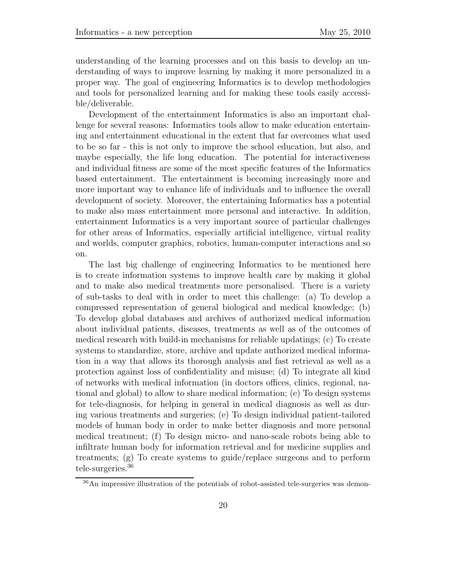understanding of the learning processes and on this basis to develop an understanding of ways to improve learning by making it more personalized in a proper way. The goal of engineering Informatics is to develop methodologies and tools for personalized learning and for making these tools easily accessible/deliverable.

Development of the entertainment Informatics is also an important challenge for several reasons: Informatics tools allow to make education entertaining and entertainment educational in the extent that far overcomes what used to be so far - this is not only to improve the school education, but also, and maybe especially, the life long education. The potential for interactiveness and individual fitness are some of the most specific features of the Informatics based entertainment. The entertainment is becoming increasingly more and more important way to enhance life of individuals and to influence the overall development of society. Moreover, the entertaining Informatics has a potential to make also mass entertainment more personal and interactive. In addition, entertainment Informatics is a very important source of particular challenges for other areas of Informatics, especially artificial intelligence, virtual reality and worlds, computer graphics, robotics, human-computer interactions and so on.

The last big challenge of engineering Informatics to be mentioned here is to create information systems to improve health care by making it global and to make also medical treatments more personalised. There is a variety of sub-tasks to deal with in order to meet this challenge: (a) To develop a compressed representation of general biological and medical knowledge; (b) To develop global databases and archives of authorized medical information about individual patients, diseases, treatments as well as of the outcomes of medical research with build-in mechanisms for reliable updatings; (c) To create systems to standardize, store, archive and update authorized medical information in a way that allows its thorough analysis and fast retrieval as well as a protection against loss of confidentiality and misuse; (d) To integrate all kind of networks with medical information (in doctors offices, clinics, regional, national and global) to allow to share medical information; (e) To design systems for tele-diagnosis, for helping in general in medical diagnosis as well as during various treatments and surgeries; (e) To design individual patient-tailored models of human body in order to make better diagnosis and more personal medical treatment; (f) To design micro- and nano-scale robots being able to infiltrate human body for information retrieval and for medicine supplies and treatments; (g) To create systems to guide/replace surgeons and to perform tele-surgeries.<sup>36</sup>

<sup>36</sup>An impressive illustration of the potentials of robot-assisted tele-surgeries was demon-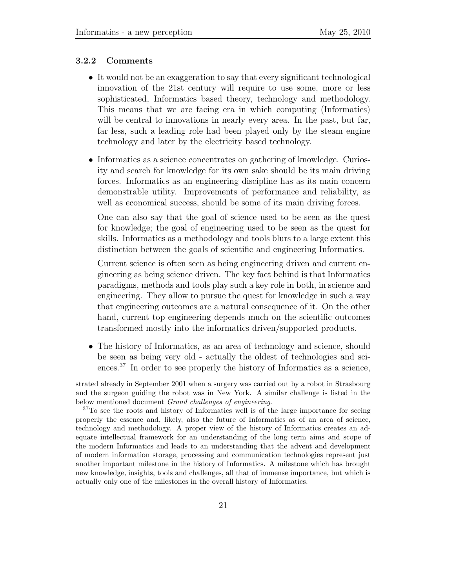#### **3.2.2 Comments**

- It would not be an exaggeration to say that every significant technological innovation of the 21st century will require to use some, more or less sophisticated, Informatics based theory, technology and methodology. This means that we are facing era in which computing (Informatics) will be central to innovations in nearly every area. In the past, but far, far less, such a leading role had been played only by the steam engine technology and later by the electricity based technology.
- Informatics as a science concentrates on gathering of knowledge. Curiosity and search for knowledge for its own sake should be its main driving forces. Informatics as an engineering discipline has as its main concern demonstrable utility. Improvements of performance and reliability, as well as economical success, should be some of its main driving forces.

One can also say that the goal of science used to be seen as the quest for knowledge; the goal of engineering used to be seen as the quest for skills. Informatics as a methodology and tools blurs to a large extent this distinction between the goals of scientific and engineering Informatics.

Current science is often seen as being engineering driven and current engineering as being science driven. The key fact behind is that Informatics paradigms, methods and tools play such a key role in both, in science and engineering. They allow to pursue the quest for knowledge in such a way that engineering outcomes are a natural consequence of it. On the other hand, current top engineering depends much on the scientific outcomes transformed mostly into the informatics driven/supported products.

• The history of Informatics, as an area of technology and science, should be seen as being very old - actually the oldest of technologies and sciences.<sup>37</sup> In order to see properly the history of Informatics as a science,

strated already in September 2001 when a surgery was carried out by a robot in Strasbourg and the surgeon guiding the robot was in New York. A similar challenge is listed in the below mentioned document *Grand challenges of engineering*.

<sup>37</sup>To see the roots and history of Informatics well is of the large importance for seeing properly the essence and, likely, also the future of Informatics as of an area of science, technology and methodology. A proper view of the history of Informatics creates an adequate intellectual framework for an understanding of the long term aims and scope of the modern Informatics and leads to an understanding that the advent and development of modern information storage, processing and communication technologies represent just another important milestone in the history of Informatics. A milestone which has brought new knowledge, insights, tools and challenges, all that of immense importance, but which is actually only one of the milestones in the overall history of Informatics.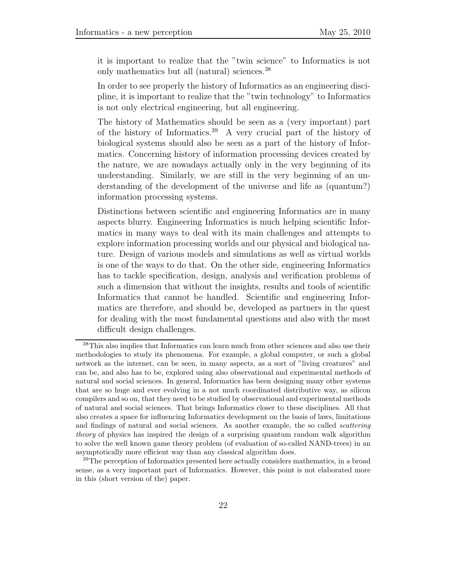it is important to realize that the "twin science" to Informatics is not only mathematics but all (natural) sciences.<sup>38</sup>

In order to see properly the history of Informatics as an engineering discipline, it is important to realize that the "twin technology" to Informatics is not only electrical engineering, but all engineering.

The history of Mathematics should be seen as a (very important) part of the history of Informatics.<sup>39</sup> A very crucial part of the history of biological systems should also be seen as a part of the history of Informatics. Concerning history of information processing devices created by the nature, we are nowadays actually only in the very beginning of its understanding. Similarly, we are still in the very beginning of an understanding of the development of the universe and life as (quantum?) information processing systems.

Distinctions between scientific and engineering Informatics are in many aspects blurry. Engineering Informatics is much helping scientific Informatics in many ways to deal with its main challenges and attempts to explore information processing worlds and our physical and biological nature. Design of various models and simulations as well as virtual worlds is one of the ways to do that. On the other side, engineering Informatics has to tackle specification, design, analysis and verification problems of such a dimension that without the insights, results and tools of scientific Informatics that cannot be handled. Scientific and engineering Informatics are therefore, and should be, developed as partners in the quest for dealing with the most fundamental questions and also with the most difficult design challenges.

<sup>38</sup>This also implies that Informatics can learn much from other sciences and also use their methodologies to study its phenomena. For example, a global computer, or such a global network as the internet, can be seen, in many aspects, as a sort of "living creatures" and can be, and also has to be, explored using also observational and experimental methods of natural and social sciences. In general, Informatics has been designing many other systems that are so huge and ever evolving in a not much coordinated distributive way, as silicon compilers and so on, that they need to be studied by observational and experimental methods of natural and social sciences. That brings Informatics closer to these disciplines. All that also creates a space for influencing Informatics development on the basis of laws, limitations and findings of natural and social sciences. As another example, the so called *scattering theory* of physics has inspired the design of a surprising quantum random walk algorithm to solve the well known game theory problem (of evaluation of so-called NAND-trees) in an asymptotically more efficient way than any classical algorithm does.

<sup>&</sup>lt;sup>39</sup>The perception of Informatics presented here actually considers mathematics, in a broad sense, as a very important part of Informatics. However, this point is not elaborated more in this (short version of the) paper.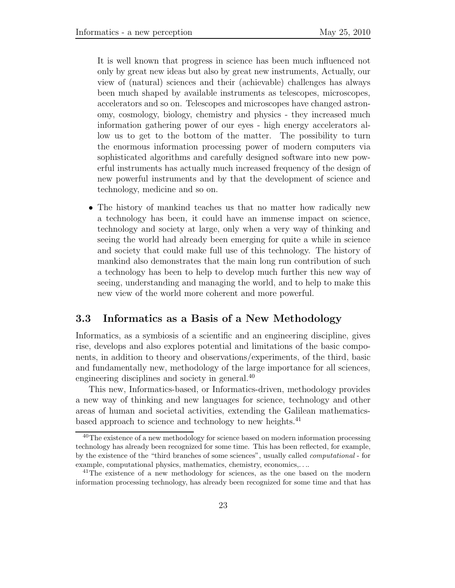It is well known that progress in science has been much influenced not only by great new ideas but also by great new instruments, Actually, our view of (natural) sciences and their (achievable) challenges has always been much shaped by available instruments as telescopes, microscopes, accelerators and so on. Telescopes and microscopes have changed astronomy, cosmology, biology, chemistry and physics - they increased much information gathering power of our eyes - high energy accelerators allow us to get to the bottom of the matter. The possibility to turn the enormous information processing power of modern computers via sophisticated algorithms and carefully designed software into new powerful instruments has actually much increased frequency of the design of new powerful instruments and by that the development of science and technology, medicine and so on.

• The history of mankind teaches us that no matter how radically new a technology has been, it could have an immense impact on science, technology and society at large, only when a very way of thinking and seeing the world had already been emerging for quite a while in science and society that could make full use of this technology. The history of mankind also demonstrates that the main long run contribution of such a technology has been to help to develop much further this new way of seeing, understanding and managing the world, and to help to make this new view of the world more coherent and more powerful.

### **3.3 Informatics as a Basis of a New Methodology**

Informatics, as a symbiosis of a scientific and an engineering discipline, gives rise, develops and also explores potential and limitations of the basic components, in addition to theory and observations/experiments, of the third, basic and fundamentally new, methodology of the large importance for all sciences, engineering disciplines and society in general.<sup>40</sup>

This new, Informatics-based, or Informatics-driven, methodology provides a new way of thinking and new languages for science, technology and other areas of human and societal activities, extending the Galilean mathematicsbased approach to science and technology to new heights.<sup>41</sup>

<sup>&</sup>lt;sup>40</sup>The existence of a new methodology for science based on modern information processing technology has already been recognized for some time. This has been reflected, for example, by the existence of the "third branches of some sciences", usually called *computational* - for example, computational physics, mathematics, chemistry, economics,....

 $41$ The existence of a new methodology for sciences, as the one based on the modern information processing technology, has already been recognized for some time and that has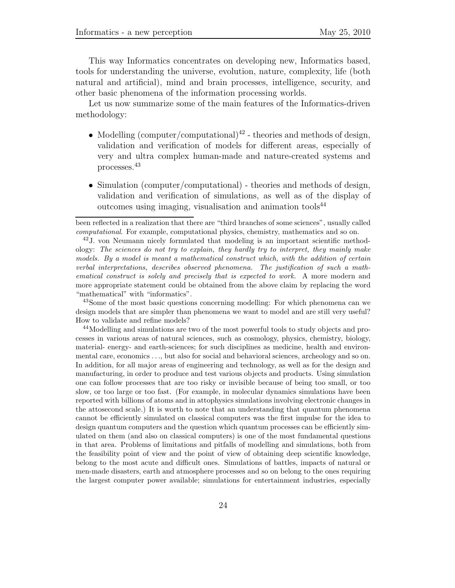This way Informatics concentrates on developing new, Informatics based, tools for understanding the universe, evolution, nature, complexity, life (both natural and artificial), mind and brain processes, intelligence, security, and other basic phenomena of the information processing worlds.

Let us now summarize some of the main features of the Informatics-driven methodology:

- Modelling (computer/computational)<sup>42</sup> theories and methods of design, validation and verification of models for different areas, especially of very and ultra complex human-made and nature-created systems and processes.<sup>43</sup>
- Simulation (computer/computational) theories and methods of design, validation and verification of simulations, as well as of the display of outcomes using imaging, visualisation and animation tools<sup>44</sup>

<sup>43</sup>Some of the most basic questions concerning modelling: For which phenomena can we design models that are simpler than phenomena we want to model and are still very useful? How to validate and refine models?

<sup>44</sup>Modelling and simulations are two of the most powerful tools to study objects and processes in various areas of natural sciences, such as cosmology, physics, chemistry, biology, material- energy- and earth-sciences; for such disciplines as medicine, health and environmental care, economics ..., but also for social and behavioral sciences, archeology and so on. In addition, for all major areas of engineering and technology, as well as for the design and manufacturing, in order to produce and test various objects and products. Using simulation one can follow processes that are too risky or invisible because of being too small, or too slow, or too large or too fast. (For example, in molecular dynamics simulations have been reported with billions of atoms and in attophysics simulations involving electronic changes in the attosecond scale.) It is worth to note that an understanding that quantum phenomena cannot be efficiently simulated on classical computers was the first impulse for the idea to design quantum computers and the question which quantum processes can be efficiently simulated on them (and also on classical computers) is one of the most fundamental questions in that area. Problems of limitations and pitfalls of modelling and simulations, both from the feasibility point of view and the point of view of obtaining deep scientific knowledge, belong to the most acute and difficult ones. Simulations of battles, impacts of natural or men-made disasters, earth and atmosphere processes and so on belong to the ones requiring the largest computer power available; simulations for entertainment industries, especially

been reflected in a realization that there are "third branches of some sciences", usually called *computational*. For example, computational physics, chemistry, mathematics and so on.

<sup>42</sup>J. von Neumann nicely formulated that modeling is an important scientific methodology: *The sciences do not try to explain, they hardly try to interpret, they mainly make models. By a model is meant a mathematical construct which, with the addition of certain verbal interpretations, describes observed phenomena. The justification of such a mathematical construct is solely and precisely that is expected to work.* A more modern and more appropriate statement could be obtained from the above claim by replacing the word "mathematical" with "informatics".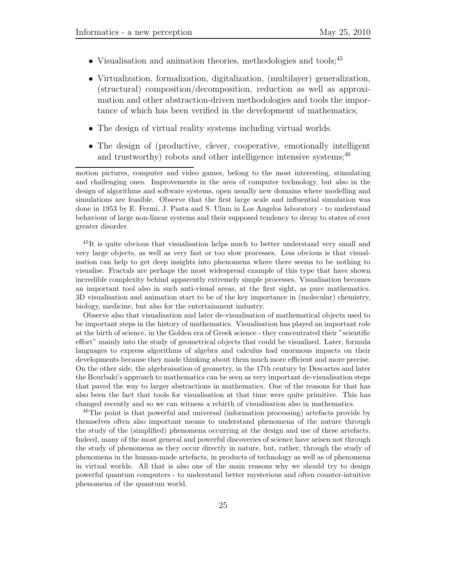- Visualisation and animation theories, methodologies and tools;<sup>45</sup>
- Virtualization, formalization, digitalization, (multilayer) generalization, (structural) composition/decomposition, reduction as well as approximation and other abstraction-driven methodologies and tools the importance of which has been verified in the development of mathematics;
- The design of virtual reality systems including virtual worlds.
- The design of (productive, clever, cooperative, emotionally intelligent and trustworthy) robots and other intelligence intensive systems;  $46$

motion pictures, computer and video games, belong to the most interesting, stimulating and challenging ones. Improvements in the area of computer technology, but also in the design of algorithms and software systems, open usually new domains where modelling and simulations are feasible. Observe that the first large scale and influential simulation was done in 1953 by E. Fermi, J. Pasta and S. Ulam in Los Angelos laboratory - to understand behaviour of large non-linear systems and their supposed tendency to decay to states of ever greater disorder.

<sup>45</sup>It is quite obvious that visualisation helps much to better understand very small and very large objects, as well as very fast or too slow processes. Less obvious is that visualisation can help to get deep insights into phenomena where there seems to be nothing to visualise. Fractals are perhaps the most widespread example of this type that have shown incredible complexity behind apparently extremely simple processes. Visualisation becomes an important tool also in such anti-visual areas, at the first sight, as pure mathematics. 3D visualisation and animation start to be of the key importance in (molecular) chemistry, biology, medicine, but also for the entertainment industry.

Observe also that visualisation and later de-visualisation of mathematical objects used to be important steps in the history of mathematics. Visualisation has played an important role at the birth of science, in the Golden era of Greek science - they concentrated their "scientific effort" mainly into the study of geometrical objects that could be visualised. Later, formula languages to express algorithms of algebra and calculus had enormous impacts on their developments because they made thinking about them much more efficient and more precise. On the other side, the algebraisation of geometry, in the 17th century by Descartes and later the Bourbaki's approach to mathematics can be seen as very important de-visualisation steps that paved the way to larger abstractions in mathematics. One of the reasons for that has also been the fact that tools for visualisation at that time were quite primitive. This has changed recently and so we can witness a rebirth of visualisation also in mathematics.

<sup>46</sup>The point is that powerful and universal (information processing) artefacts provide by themselves often also important means to understand phenomena of the nature through the study of the (simplified) phenomena occurring at the design and use of these artefacts. Indeed, many of the most general and powerful discoveries of science have arisen not through the study of phenomena as they occur directly in nature, but, rather, through the study of phenomena in the human-made artefacts, in products of technology as well as of phenomena in virtual worlds. All that is also one of the main reasons why we should try to design powerful quantum computers - to understand better mysterious and often counter-intuitive phenomena of the quantum world.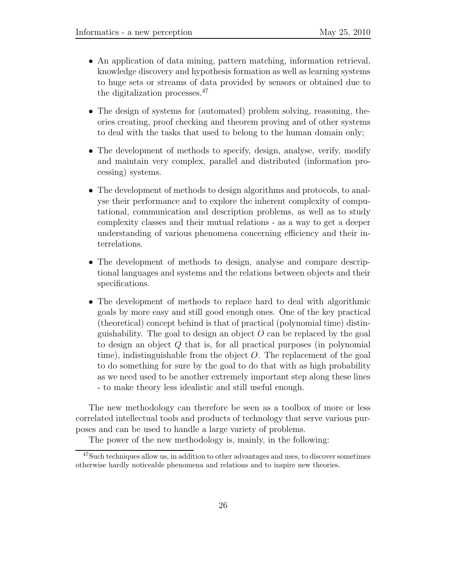- An application of data mining, pattern matching, information retrieval, knowledge discovery and hypothesis formation as well as learning systems to huge sets or streams of data provided by sensors or obtained due to the digitalization processes.<sup>47</sup>
- The design of systems for (automated) problem solving, reasoning, theories creating, proof checking and theorem proving and of other systems to deal with the tasks that used to belong to the human domain only;
- The development of methods to specify, design, analyse, verify, modify and maintain very complex, parallel and distributed (information processing) systems.
- The development of methods to design algorithms and protocols, to analyse their performance and to explore the inherent complexity of computational, communication and description problems, as well as to study complexity classes and their mutual relations - as a way to get a deeper understanding of various phenomena concerning efficiency and their interrelations.
- The development of methods to design, analyse and compare descriptional languages and systems and the relations between objects and their specifications.
- *•* The development of methods to replace hard to deal with algorithmic goals by more easy and still good enough ones. One of the key practical (theoretical) concept behind is that of practical (polynomial time) distinguishability. The goal to design an object *O* can be replaced by the goal to design an object *Q* that is, for all practical purposes (in polynomial time), indistinguishable from the object *O*. The replacement of the goal to do something for sure by the goal to do that with as high probability as we need used to be another extremely important step along these lines - to make theory less idealistic and still useful enough.

The new methodology can therefore be seen as a toolbox of more or less correlated intellectual tools and products of technology that serve various purposes and can be used to handle a large variety of problems.

The power of the new methodology is, mainly, in the following:

<sup>47</sup>Such techniques allow us, in addition to other advantages and uses, to discover sometimes otherwise hardly noticeable phenomena and relations and to inspire new theories.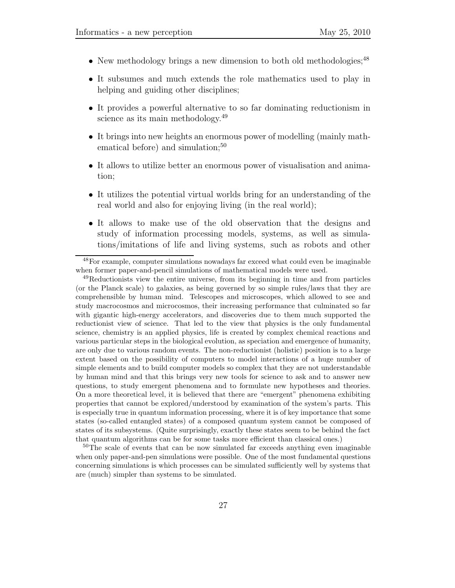- New methodology brings a new dimension to both old methodologies:<sup>48</sup>
- It subsumes and much extends the role mathematics used to play in helping and guiding other disciplines;
- It provides a powerful alternative to so far dominating reductionism in science as its main methodology.<sup>49</sup>
- *•* It brings into new heights an enormous power of modelling (mainly mathematical before) and simulation; $50$
- It allows to utilize better an enormous power of visualisation and animation;
- It utilizes the potential virtual worlds bring for an understanding of the real world and also for enjoying living (in the real world);
- *•* It allows to make use of the old observation that the designs and study of information processing models, systems, as well as simulations/imitations of life and living systems, such as robots and other

<sup>50</sup>The scale of events that can be now simulated far exceeds anything even imaginable when only paper-and-pen simulations were possible. One of the most fundamental questions concerning simulations is which processes can be simulated sufficiently well by systems that are (much) simpler than systems to be simulated.

<sup>48</sup>For example, computer simulations nowadays far exceed what could even be imaginable when former paper-and-pencil simulations of mathematical models were used.

<sup>&</sup>lt;sup>49</sup>Reductionists view the entire universe, from its beginning in time and from particles (or the Planck scale) to galaxies, as being governed by so simple rules/laws that they are comprehensible by human mind. Telescopes and microscopes, which allowed to see and study macrocosmos and microcosmos, their increasing performance that culminated so far with gigantic high-energy accelerators, and discoveries due to them much supported the reductionist view of science. That led to the view that physics is the only fundamental science, chemistry is an applied physics, life is created by complex chemical reactions and various particular steps in the biological evolution, as speciation and emergence of humanity, are only due to various random events. The non-reductionist (holistic) position is to a large extent based on the possibility of computers to model interactions of a huge number of simple elements and to build computer models so complex that they are not understandable by human mind and that this brings very new tools for science to ask and to answer new questions, to study emergent phenomena and to formulate new hypotheses and theories. On a more theoretical level, it is believed that there are "emergent" phenomena exhibiting properties that cannot be explored/understood by examination of the system's parts. This is especially true in quantum information processing, where it is of key importance that some states (so-called entangled states) of a composed quantum system cannot be composed of states of its subsystems. (Quite surprisingly, exactly these states seem to be behind the fact that quantum algorithms can be for some tasks more efficient than classical ones.)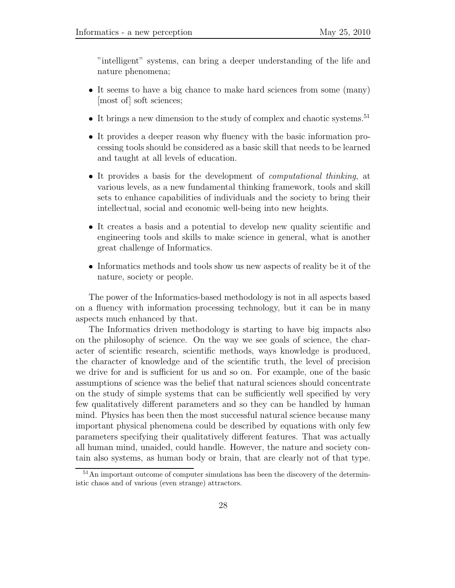"intelligent" systems, can bring a deeper understanding of the life and nature phenomena;

- It seems to have a big chance to make hard sciences from some (many) [most of] soft sciences;
- It brings a new dimension to the study of complex and chaotic systems.<sup>51</sup>
- It provides a deeper reason why fluency with the basic information processing tools should be considered as a basic skill that needs to be learned and taught at all levels of education.
- *•* It provides a basis for the development of *computational thinking*, at various levels, as a new fundamental thinking framework, tools and skill sets to enhance capabilities of individuals and the society to bring their intellectual, social and economic well-being into new heights.
- It creates a basis and a potential to develop new quality scientific and engineering tools and skills to make science in general, what is another great challenge of Informatics.
- Informatics methods and tools show us new aspects of reality be it of the nature, society or people.

The power of the Informatics-based methodology is not in all aspects based on a fluency with information processing technology, but it can be in many aspects much enhanced by that.

The Informatics driven methodology is starting to have big impacts also on the philosophy of science. On the way we see goals of science, the character of scientific research, scientific methods, ways knowledge is produced, the character of knowledge and of the scientific truth, the level of precision we drive for and is sufficient for us and so on. For example, one of the basic assumptions of science was the belief that natural sciences should concentrate on the study of simple systems that can be sufficiently well specified by very few qualitatively different parameters and so they can be handled by human mind. Physics has been then the most successful natural science because many important physical phenomena could be described by equations with only few parameters specifying their qualitatively different features. That was actually all human mind, unaided, could handle. However, the nature and society contain also systems, as human body or brain, that are clearly not of that type.

<sup>&</sup>lt;sup>51</sup>An important outcome of computer simulations has been the discovery of the deterministic chaos and of various (even strange) attractors.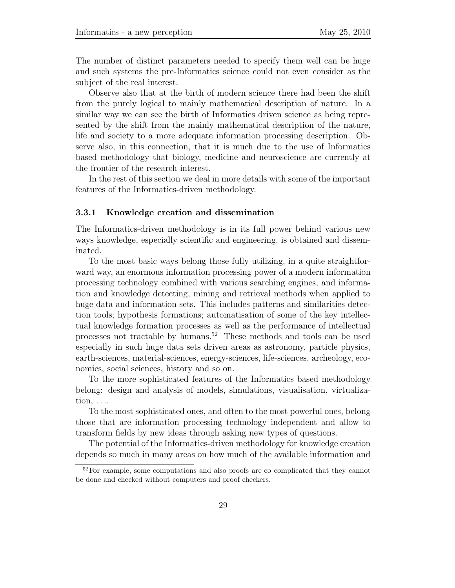The number of distinct parameters needed to specify them well can be huge and such systems the pre-Informatics science could not even consider as the subject of the real interest.

Observe also that at the birth of modern science there had been the shift from the purely logical to mainly mathematical description of nature. In a similar way we can see the birth of Informatics driven science as being represented by the shift from the mainly mathematical description of the nature, life and society to a more adequate information processing description. Observe also, in this connection, that it is much due to the use of Informatics based methodology that biology, medicine and neuroscience are currently at the frontier of the research interest.

In the rest of this section we deal in more details with some of the important features of the Informatics-driven methodology.

#### **3.3.1 Knowledge creation and dissemination**

The Informatics-driven methodology is in its full power behind various new ways knowledge, especially scientific and engineering, is obtained and disseminated.

To the most basic ways belong those fully utilizing, in a quite straightforward way, an enormous information processing power of a modern information processing technology combined with various searching engines, and information and knowledge detecting, mining and retrieval methods when applied to huge data and information sets. This includes patterns and similarities detection tools; hypothesis formations; automatisation of some of the key intellectual knowledge formation processes as well as the performance of intellectual processes not tractable by humans.<sup>52</sup> These methods and tools can be used especially in such huge data sets driven areas as astronomy, particle physics, earth-sciences, material-sciences, energy-sciences, life-sciences, archeology, economics, social sciences, history and so on.

To the more sophisticated features of the Informatics based methodology belong: design and analysis of models, simulations, visualisation, virtualization, *...*.

To the most sophisticated ones, and often to the most powerful ones, belong those that are information processing technology independent and allow to transform fields by new ideas through asking new types of questions.

The potential of the Informatics-driven methodology for knowledge creation depends so much in many areas on how much of the available information and

<sup>&</sup>lt;sup>52</sup>For example, some computations and also proofs are co complicated that they cannot be done and checked without computers and proof checkers.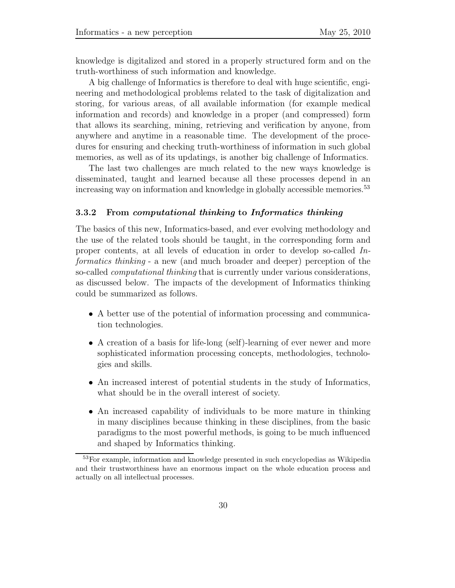knowledge is digitalized and stored in a properly structured form and on the truth-worthiness of such information and knowledge.

A big challenge of Informatics is therefore to deal with huge scientific, engineering and methodological problems related to the task of digitalization and storing, for various areas, of all available information (for example medical information and records) and knowledge in a proper (and compressed) form that allows its searching, mining, retrieving and verification by anyone, from anywhere and anytime in a reasonable time. The development of the procedures for ensuring and checking truth-worthiness of information in such global memories, as well as of its updatings, is another big challenge of Informatics.

The last two challenges are much related to the new ways knowledge is disseminated, taught and learned because all these processes depend in an increasing way on information and knowledge in globally accessible memories.<sup>53</sup>

#### **3.3.2 From** *computational thinking* **to** *Informatics thinking*

The basics of this new, Informatics-based, and ever evolving methodology and the use of the related tools should be taught, in the corresponding form and proper contents, at all levels of education in order to develop so-called *Informatics thinking* - a new (and much broader and deeper) perception of the so-called *computational thinking* that is currently under various considerations, as discussed below. The impacts of the development of Informatics thinking could be summarized as follows.

- A better use of the potential of information processing and communication technologies.
- A creation of a basis for life-long (self)-learning of ever newer and more sophisticated information processing concepts, methodologies, technologies and skills.
- An increased interest of potential students in the study of Informatics, what should be in the overall interest of society.
- *•* An increased capability of individuals to be more mature in thinking in many disciplines because thinking in these disciplines, from the basic paradigms to the most powerful methods, is going to be much influenced and shaped by Informatics thinking.

<sup>53</sup>For example, information and knowledge presented in such encyclopedias as Wikipedia and their trustworthiness have an enormous impact on the whole education process and actually on all intellectual processes.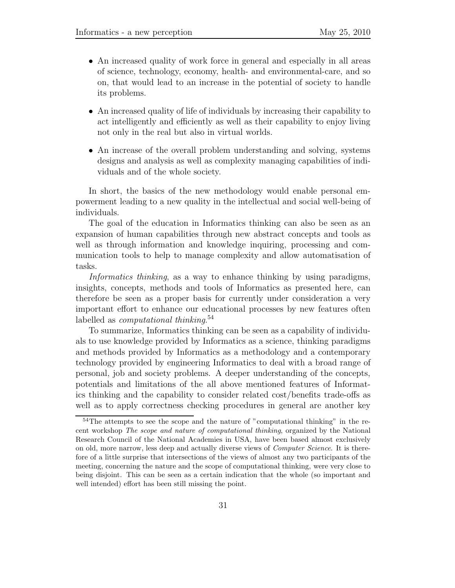- *•* An increased quality of work force in general and especially in all areas of science, technology, economy, health- and environmental-care, and so on, that would lead to an increase in the potential of society to handle its problems.
- An increased quality of life of individuals by increasing their capability to act intelligently and efficiently as well as their capability to enjoy living not only in the real but also in virtual worlds.
- An increase of the overall problem understanding and solving, systems designs and analysis as well as complexity managing capabilities of individuals and of the whole society.

In short, the basics of the new methodology would enable personal empowerment leading to a new quality in the intellectual and social well-being of individuals.

The goal of the education in Informatics thinking can also be seen as an expansion of human capabilities through new abstract concepts and tools as well as through information and knowledge inquiring, processing and communication tools to help to manage complexity and allow automatisation of tasks.

*Informatics thinking*, as a way to enhance thinking by using paradigms, insights, concepts, methods and tools of Informatics as presented here, can therefore be seen as a proper basis for currently under consideration a very important effort to enhance our educational processes by new features often labelled as *computational thinking*. 54

To summarize, Informatics thinking can be seen as a capability of individuals to use knowledge provided by Informatics as a science, thinking paradigms and methods provided by Informatics as a methodology and a contemporary technology provided by engineering Informatics to deal with a broad range of personal, job and society problems. A deeper understanding of the concepts, potentials and limitations of the all above mentioned features of Informatics thinking and the capability to consider related cost/benefits trade-offs as well as to apply correctness checking procedures in general are another key

<sup>54</sup>The attempts to see the scope and the nature of "computational thinking" in the recent workshop *The scope and nature of computational thinking*, organized by the National Research Council of the National Academies in USA, have been based almost exclusively on old, more narrow, less deep and actually diverse views of *Computer Science*. It is therefore of a little surprise that intersections of the views of almost any two participants of the meeting, concerning the nature and the scope of computational thinking, were very close to being disjoint. This can be seen as a certain indication that the whole (so important and well intended) effort has been still missing the point.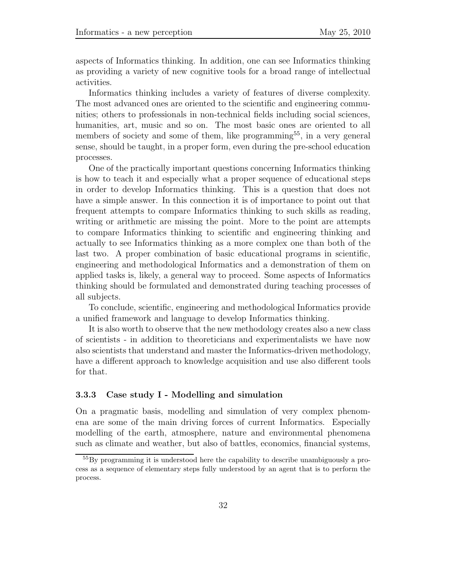aspects of Informatics thinking. In addition, one can see Informatics thinking as providing a variety of new cognitive tools for a broad range of intellectual activities.

Informatics thinking includes a variety of features of diverse complexity. The most advanced ones are oriented to the scientific and engineering communities; others to professionals in non-technical fields including social sciences, humanities, art, music and so on. The most basic ones are oriented to all members of society and some of them, like programming<sup>55</sup>, in a very general sense, should be taught, in a proper form, even during the pre-school education processes.

One of the practically important questions concerning Informatics thinking is how to teach it and especially what a proper sequence of educational steps in order to develop Informatics thinking. This is a question that does not have a simple answer. In this connection it is of importance to point out that frequent attempts to compare Informatics thinking to such skills as reading, writing or arithmetic are missing the point. More to the point are attempts to compare Informatics thinking to scientific and engineering thinking and actually to see Informatics thinking as a more complex one than both of the last two. A proper combination of basic educational programs in scientific, engineering and methodological Informatics and a demonstration of them on applied tasks is, likely, a general way to proceed. Some aspects of Informatics thinking should be formulated and demonstrated during teaching processes of all subjects.

To conclude, scientific, engineering and methodological Informatics provide a unified framework and language to develop Informatics thinking.

It is also worth to observe that the new methodology creates also a new class of scientists - in addition to theoreticians and experimentalists we have now also scientists that understand and master the Informatics-driven methodology, have a different approach to knowledge acquisition and use also different tools for that.

#### **3.3.3 Case study I - Modelling and simulation**

On a pragmatic basis, modelling and simulation of very complex phenomena are some of the main driving forces of current Informatics. Especially modelling of the earth, atmosphere, nature and environmental phenomena such as climate and weather, but also of battles, economics, financial systems,

<sup>&</sup>lt;sup>55</sup>By programming it is understood here the capability to describe unambiguously a process as a sequence of elementary steps fully understood by an agent that is to perform the process.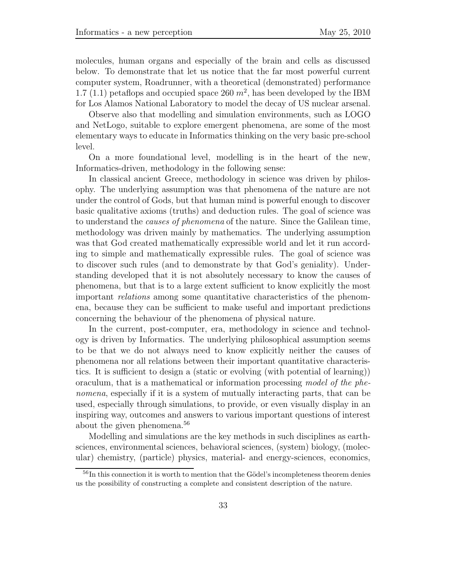molecules, human organs and especially of the brain and cells as discussed below. To demonstrate that let us notice that the far most powerful current computer system, Roadrunner, with a theoretical (demonstrated) performance 1.7 (1.1) petaflops and occupied space 260  $m^2$ , has been developed by the IBM for Los Alamos National Laboratory to model the decay of US nuclear arsenal.

Observe also that modelling and simulation environments, such as LOGO and NetLogo, suitable to explore emergent phenomena, are some of the most elementary ways to educate in Informatics thinking on the very basic pre-school level.

On a more foundational level, modelling is in the heart of the new, Informatics-driven, methodology in the following sense:

In classical ancient Greece, methodology in science was driven by philosophy. The underlying assumption was that phenomena of the nature are not under the control of Gods, but that human mind is powerful enough to discover basic qualitative axioms (truths) and deduction rules. The goal of science was to understand the *causes of phenomena* of the nature. Since the Galilean time, methodology was driven mainly by mathematics. The underlying assumption was that God created mathematically expressible world and let it run according to simple and mathematically expressible rules. The goal of science was to discover such rules (and to demonstrate by that God's geniality). Understanding developed that it is not absolutely necessary to know the causes of phenomena, but that is to a large extent sufficient to know explicitly the most important *relations* among some quantitative characteristics of the phenomena, because they can be sufficient to make useful and important predictions concerning the behaviour of the phenomena of physical nature.

In the current, post-computer, era, methodology in science and technology is driven by Informatics. The underlying philosophical assumption seems to be that we do not always need to know explicitly neither the causes of phenomena nor all relations between their important quantitative characteristics. It is sufficient to design a (static or evolving (with potential of learning)) oraculum, that is a mathematical or information processing *model of the phenomena*, especially if it is a system of mutually interacting parts, that can be used, especially through simulations, to provide, or even visually display in an inspiring way, outcomes and answers to various important questions of interest about the given phenomena.<sup>56</sup>

Modelling and simulations are the key methods in such disciplines as earthsciences, environmental sciences, behavioral sciences, (system) biology, (molecular) chemistry, (particle) physics, material- and energy-sciences, economics,

 $56$ In this connection it is worth to mention that the Gödel's incompleteness theorem denies us the possibility of constructing a complete and consistent description of the nature.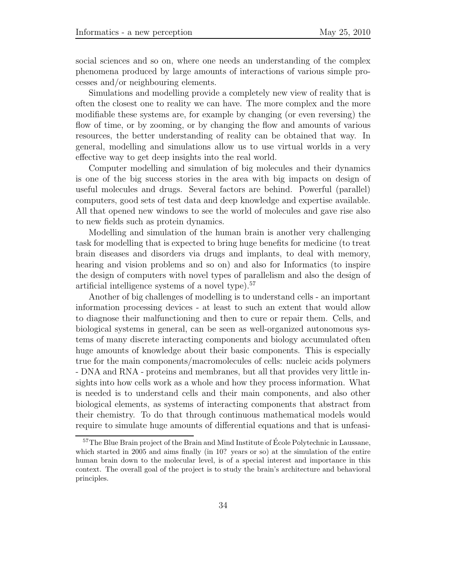social sciences and so on, where one needs an understanding of the complex phenomena produced by large amounts of interactions of various simple processes and/or neighbouring elements.

Simulations and modelling provide a completely new view of reality that is often the closest one to reality we can have. The more complex and the more modifiable these systems are, for example by changing (or even reversing) the flow of time, or by zooming, or by changing the flow and amounts of various resources, the better understanding of reality can be obtained that way. In general, modelling and simulations allow us to use virtual worlds in a very effective way to get deep insights into the real world.

Computer modelling and simulation of big molecules and their dynamics is one of the big success stories in the area with big impacts on design of useful molecules and drugs. Several factors are behind. Powerful (parallel) computers, good sets of test data and deep knowledge and expertise available. All that opened new windows to see the world of molecules and gave rise also to new fields such as protein dynamics.

Modelling and simulation of the human brain is another very challenging task for modelling that is expected to bring huge benefits for medicine (to treat brain diseases and disorders via drugs and implants, to deal with memory, hearing and vision problems and so on) and also for Informatics (to inspire the design of computers with novel types of parallelism and also the design of artificial intelligence systems of a novel type).<sup>57</sup>

Another of big challenges of modelling is to understand cells - an important information processing devices - at least to such an extent that would allow to diagnose their malfunctioning and then to cure or repair them. Cells, and biological systems in general, can be seen as well-organized autonomous systems of many discrete interacting components and biology accumulated often huge amounts of knowledge about their basic components. This is especially true for the main components/macromolecules of cells: nucleic acids polymers - DNA and RNA - proteins and membranes, but all that provides very little insights into how cells work as a whole and how they process information. What is needed is to understand cells and their main components, and also other biological elements, as systems of interacting components that abstract from their chemistry. To do that through continuous mathematical models would require to simulate huge amounts of differential equations and that is unfeasi-

 $57$ The Blue Brain project of the Brain and Mind Institute of École Polytechnic in Laussane, which started in 2005 and aims finally (in 10? years or so) at the simulation of the entire human brain down to the molecular level, is of a special interest and importance in this context. The overall goal of the project is to study the brain's architecture and behavioral principles.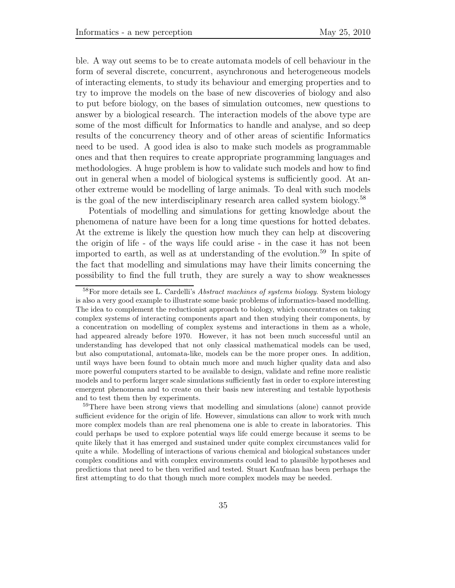ble. A way out seems to be to create automata models of cell behaviour in the form of several discrete, concurrent, asynchronous and heterogeneous models of interacting elements, to study its behaviour and emerging properties and to try to improve the models on the base of new discoveries of biology and also to put before biology, on the bases of simulation outcomes, new questions to answer by a biological research. The interaction models of the above type are some of the most difficult for Informatics to handle and analyse, and so deep results of the concurrency theory and of other areas of scientific Informatics need to be used. A good idea is also to make such models as programmable ones and that then requires to create appropriate programming languages and methodologies. A huge problem is how to validate such models and how to find out in general when a model of biological systems is sufficiently good. At another extreme would be modelling of large animals. To deal with such models is the goal of the new interdisciplinary research area called system biology.<sup>58</sup>

Potentials of modelling and simulations for getting knowledge about the phenomena of nature have been for a long time questions for hotted debates. At the extreme is likely the question how much they can help at discovering the origin of life - of the ways life could arise - in the case it has not been imported to earth, as well as at understanding of the evolution.<sup>59</sup> In spite of the fact that modelling and simulations may have their limits concerning the possibility to find the full truth, they are surely a way to show weaknesses

<sup>59</sup>There have been strong views that modelling and simulations (alone) cannot provide sufficient evidence for the origin of life. However, simulations can allow to work with much more complex models than are real phenomena one is able to create in laboratories. This could perhaps be used to explore potential ways life could emerge because it seems to be quite likely that it has emerged and sustained under quite complex circumstances valid for quite a while. Modelling of interactions of various chemical and biological substances under complex conditions and with complex environments could lead to plausible hypotheses and predictions that need to be then verified and tested. Stuart Kaufman has been perhaps the first attempting to do that though much more complex models may be needed.

<sup>58</sup>For more details see L. Cardelli's *Abstract machines of systems biology*. System biology is also a very good example to illustrate some basic problems of informatics-based modelling. The idea to complement the reductionist approach to biology, which concentrates on taking complex systems of interacting components apart and then studying their components, by a concentration on modelling of complex systems and interactions in them as a whole, had appeared already before 1970. However, it has not been much successful until an understanding has developed that not only classical mathematical models can be used, but also computational, automata-like, models can be the more proper ones. In addition, until ways have been found to obtain much more and much higher quality data and also more powerful computers started to be available to design, validate and refine more realistic models and to perform larger scale simulations sufficiently fast in order to explore interesting emergent phenomena and to create on their basis new interesting and testable hypothesis and to test them then by experiments.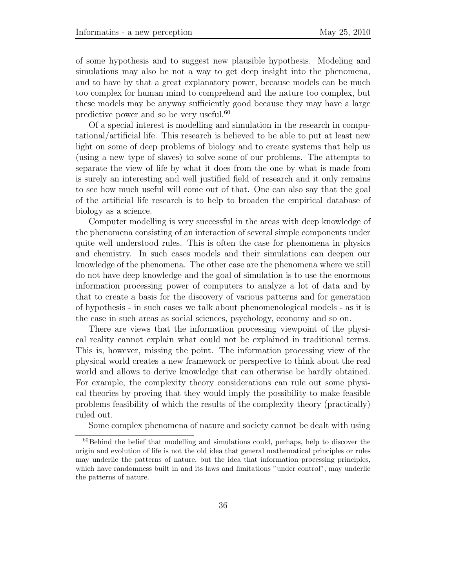of some hypothesis and to suggest new plausible hypothesis. Modeling and simulations may also be not a way to get deep insight into the phenomena, and to have by that a great explanatory power, because models can be much too complex for human mind to comprehend and the nature too complex, but these models may be anyway sufficiently good because they may have a large predictive power and so be very useful.<sup>60</sup>

Of a special interest is modelling and simulation in the research in computational/artificial life. This research is believed to be able to put at least new light on some of deep problems of biology and to create systems that help us (using a new type of slaves) to solve some of our problems. The attempts to separate the view of life by what it does from the one by what is made from is surely an interesting and well justified field of research and it only remains to see how much useful will come out of that. One can also say that the goal of the artificial life research is to help to broaden the empirical database of biology as a science.

Computer modelling is very successful in the areas with deep knowledge of the phenomena consisting of an interaction of several simple components under quite well understood rules. This is often the case for phenomena in physics and chemistry. In such cases models and their simulations can deepen our knowledge of the phenomena. The other case are the phenomena where we still do not have deep knowledge and the goal of simulation is to use the enormous information processing power of computers to analyze a lot of data and by that to create a basis for the discovery of various patterns and for generation of hypothesis - in such cases we talk about phenomenological models - as it is the case in such areas as social sciences, psychology, economy and so on.

There are views that the information processing viewpoint of the physical reality cannot explain what could not be explained in traditional terms. This is, however, missing the point. The information processing view of the physical world creates a new framework or perspective to think about the real world and allows to derive knowledge that can otherwise be hardly obtained. For example, the complexity theory considerations can rule out some physical theories by proving that they would imply the possibility to make feasible problems feasibility of which the results of the complexity theory (practically) ruled out.

Some complex phenomena of nature and society cannot be dealt with using

 $60$ Behind the belief that modelling and simulations could, perhaps, help to discover the origin and evolution of life is not the old idea that general mathematical principles or rules may underlie the patterns of nature, but the idea that information processing principles, which have randomness built in and its laws and limitations "under control", may underlie the patterns of nature.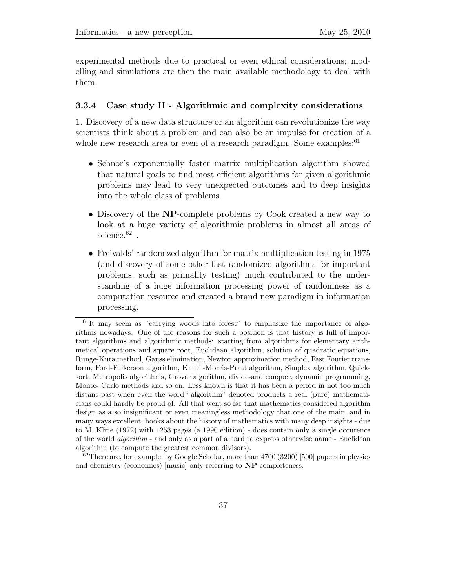experimental methods due to practical or even ethical considerations; modelling and simulations are then the main available methodology to deal with them.

#### **3.3.4 Case study II - Algorithmic and complexity considerations**

1. Discovery of a new data structure or an algorithm can revolutionize the way scientists think about a problem and can also be an impulse for creation of a whole new research area or even of a research paradigm. Some examples: $61$ 

- Schnor's exponentially faster matrix multiplication algorithm showed that natural goals to find most efficient algorithms for given algorithmic problems may lead to very unexpected outcomes and to deep insights into the whole class of problems.
- *•* Discovery of the **NP**-complete problems by Cook created a new way to look at a huge variety of algorithmic problems in almost all areas of science.<sup>62</sup>.
- Freivalds' randomized algorithm for matrix multiplication testing in 1975 (and discovery of some other fast randomized algorithms for important problems, such as primality testing) much contributed to the understanding of a huge information processing power of randomness as a computation resource and created a brand new paradigm in information processing.

 $61$ It may seem as "carrying woods into forest" to emphasize the importance of algorithms nowadays. One of the reasons for such a position is that history is full of important algorithms and algorithmic methods: starting from algorithms for elementary arithmetical operations and square root, Euclidean algorithm, solution of quadratic equations, Runge-Kuta method, Gauss elimination, Newton approximation method, Fast Fourier transform, Ford-Fulkerson algorithm, Knuth-Morris-Pratt algorithm, Simplex algorithm, Quicksort, Metropolis algorithms, Grover algorithm, divide-and conquer, dynamic programming, Monte- Carlo methods and so on. Less known is that it has been a period in not too much distant past when even the word "algorithm" denoted products a real (pure) mathematicians could hardly be proud of. All that went so far that mathematics considered algorithm design as a so insignificant or even meaningless methodology that one of the main, and in many ways excellent, books about the history of mathematics with many deep insights - due to M. Kline (1972) with 1253 pages (a 1990 edition) - does contain only a single occurence of the world *algorithm* - and only as a part of a hard to express otherwise name - Euclidean algorithm (to compute the greatest common divisors).

 $62$ There are, for example, by Google Scholar, more than 4700 (3200) [500] papers in physics and chemistry (economics) [music] only referring to **NP**-completeness.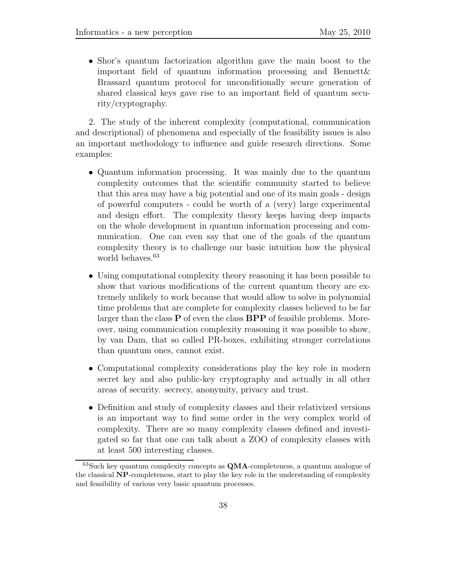• Shor's quantum factorization algorithm gave the main boost to the important field of quantum information processing and Bennett& Brassard quantum protocol for unconditionally secure generation of shared classical keys gave rise to an important field of quantum security/cryptography.

2. The study of the inherent complexity (computational, communication and descriptional) of phenomena and especially of the feasibility issues is also an important methodology to influence and guide research directions. Some examples:

- Quantum information processing. It was mainly due to the quantum complexity outcomes that the scientific community started to believe that this area may have a big potential and one of its main goals - design of powerful computers - could be worth of a (very) large experimental and design effort. The complexity theory keeps having deep impacts on the whole development in quantum information processing and communication. One can even say that one of the goals of the quantum complexity theory is to challenge our basic intuition how the physical world behaves.<sup>63</sup>
- Using computational complexity theory reasoning it has been possible to show that various modifications of the current quantum theory are extremely unlikely to work because that would allow to solve in polynomial time problems that are complete for complexity classes believed to be far larger than the class **P** of even the class **BPP** of feasible problems. Moreover, using communication complexity reasoning it was possible to show, by van Dam, that so called PR-boxes, exhibiting stronger correlations than quantum ones, cannot exist.
- Computational complexity considerations play the key role in modern secret key and also public-key cryptography and actually in all other areas of security. secrecy, anonymity, privacy and trust.
- Definition and study of complexity classes and their relativized versions is an important way to find some order in the very complex world of complexity. There are so many complexity classes defined and investigated so far that one can talk about a ZOO of complexity classes with at least 500 interesting classes.

<sup>63</sup>Such key quantum complexity concepts as **QMA**-completeness, a quantum analogue of the classical **NP**-completeness, start to play the key role in the understanding of complexity and feasibility of various very basic quantum processes.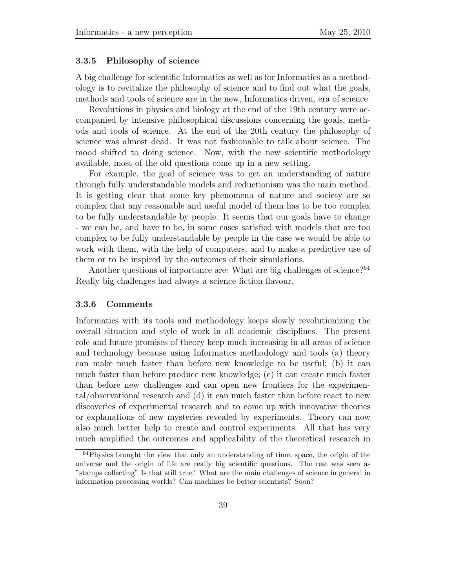#### **3.3.5 Philosophy of science**

A big challenge for scientific Informatics as well as for Informatics as a methodology is to revitalize the philosophy of science and to find out what the goals, methods and tools of science are in the new, Informatics driven, era of science.

Revolutions in physics and biology at the end of the 19th century were accompanied by intensive philosophical discussions concerning the goals, methods and tools of science. At the end of the 20th century the philosophy of science was almost dead. It was not fashionable to talk about science. The mood shifted to doing science. Now, with the new scientific methodology available, most of the old questions come up in a new setting.

For example, the goal of science was to get an understanding of nature through fully understandable models and reductionism was the main method. It is getting clear that some key phenomena of nature and society are so complex that any reasonable and useful model of them has to be too complex to be fully understandable by people. It seems that our goals have to change - we can be, and have to be, in some cases satisfied with models that are too complex to be fully understandable by people in the case we would be able to work with them, with the help of computers, and to make a predictive use of them or to be inspired by the outcomes of their simulations.

Another questions of importance are: What are big challenges of science?<sup>64</sup> Really big challenges had always a science fiction flavour.

#### **3.3.6 Comments**

Informatics with its tools and methodology keeps slowly revolutionizing the overall situation and style of work in all academic disciplines. The present role and future promises of theory keep much increasing in all areas of science and technology because using Informatics methodology and tools (a) theory can make much faster than before new knowledge to be useful; (b) it can much faster than before produce new knowledge; (c) it can create much faster than before new challenges and can open new frontiers for the experimental/observational research and (d) it can much faster than before react to new discoveries of experimental research and to come up with innovative theories or explanations of new mysteries revealed by experiments. Theory can now also much better help to create and control experiments. All that has very much amplified the outcomes and applicability of the theoretical research in

 $64$ Physics brought the view that only an understanding of time, space, the origin of the universe and the origin of life are really big scientific questions. The rest was seen as "stamps collecting" Is that still true? What are the main challenges of science in general in information processing worlds? Can machines be better scientists? Soon?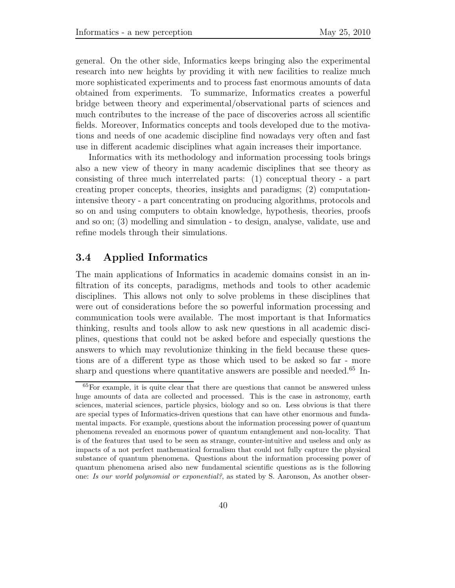general. On the other side, Informatics keeps bringing also the experimental research into new heights by providing it with new facilities to realize much more sophisticated experiments and to process fast enormous amounts of data obtained from experiments. To summarize, Informatics creates a powerful bridge between theory and experimental/observational parts of sciences and much contributes to the increase of the pace of discoveries across all scientific fields. Moreover, Informatics concepts and tools developed due to the motivations and needs of one academic discipline find nowadays very often and fast use in different academic disciplines what again increases their importance.

Informatics with its methodology and information processing tools brings also a new view of theory in many academic disciplines that see theory as consisting of three much interrelated parts: (1) conceptual theory - a part creating proper concepts, theories, insights and paradigms; (2) computationintensive theory - a part concentrating on producing algorithms, protocols and so on and using computers to obtain knowledge, hypothesis, theories, proofs and so on; (3) modelling and simulation - to design, analyse, validate, use and refine models through their simulations.

### **3.4 Applied Informatics**

The main applications of Informatics in academic domains consist in an infiltration of its concepts, paradigms, methods and tools to other academic disciplines. This allows not only to solve problems in these disciplines that were out of considerations before the so powerful information processing and communication tools were available. The most important is that Informatics thinking, results and tools allow to ask new questions in all academic disciplines, questions that could not be asked before and especially questions the answers to which may revolutionize thinking in the field because these questions are of a different type as those which used to be asked so far - more sharp and questions where quantitative answers are possible and needed.<sup>65</sup> In-

<sup>&</sup>lt;sup>65</sup>For example, it is quite clear that there are questions that cannot be answered unless huge amounts of data are collected and processed. This is the case in astronomy, earth sciences, material sciences, particle physics, biology and so on. Less obvious is that there are special types of Informatics-driven questions that can have other enormous and fundamental impacts. For example, questions about the information processing power of quantum phenomena revealed an enormous power of quantum entanglement and non-locality. That is of the features that used to be seen as strange, counter-intuitive and useless and only as impacts of a not perfect mathematical formalism that could not fully capture the physical substance of quantum phenomena. Questions about the information processing power of quantum phenomena arised also new fundamental scientific questions as is the following one: *Is our world polynomial or exponential?*, as stated by S. Aaronson, As another obser-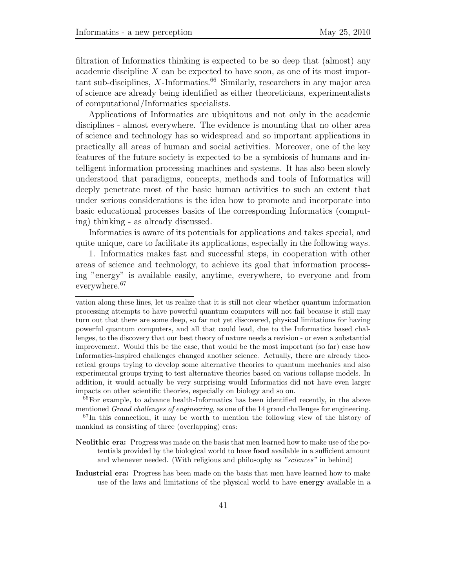filtration of Informatics thinking is expected to be so deep that (almost) any academic discipline *X* can be expected to have soon, as one of its most impor $t$ ant sub-disciplines,  $X$ -Informatics.<sup>66</sup> Similarly, researchers in any major area of science are already being identified as either theoreticians, experimentalists of computational/Informatics specialists.

Applications of Informatics are ubiquitous and not only in the academic disciplines - almost everywhere. The evidence is mounting that no other area of science and technology has so widespread and so important applications in practically all areas of human and social activities. Moreover, one of the key features of the future society is expected to be a symbiosis of humans and intelligent information processing machines and systems. It has also been slowly understood that paradigms, concepts, methods and tools of Informatics will deeply penetrate most of the basic human activities to such an extent that under serious considerations is the idea how to promote and incorporate into basic educational processes basics of the corresponding Informatics (computing) thinking - as already discussed.

Informatics is aware of its potentials for applications and takes special, and quite unique, care to facilitate its applications, especially in the following ways.

1. Informatics makes fast and successful steps, in cooperation with other areas of science and technology, to achieve its goal that information processing "energy" is available easily, anytime, everywhere, to everyone and from everywhere.<sup>67</sup>

**Industrial era:** Progress has been made on the basis that men have learned how to make use of the laws and limitations of the physical world to have **energy** available in a

vation along these lines, let us realize that it is still not clear whether quantum information processing attempts to have powerful quantum computers will not fail because it still may turn out that there are some deep, so far not yet discovered, physical limitations for having powerful quantum computers, and all that could lead, due to the Informatics based challenges, to the discovery that our best theory of nature needs a revision - or even a substantial improvement. Would this be the case, that would be the most important (so far) case how Informatics-inspired challenges changed another science. Actually, there are already theoretical groups trying to develop some alternative theories to quantum mechanics and also experimental groups trying to test alternative theories based on various collapse models. In addition, it would actually be very surprising would Informatics did not have even larger impacts on other scientific theories, especially on biology and so on.

<sup>66</sup>For example, to advance health-Informatics has been identified recently, in the above mentioned *Grand challenges of engineering*, as one of the 14 grand challenges for engineering.

 $67$ In this connection, it may be worth to mention the following view of the history of mankind as consisting of three (overlapping) eras:

**Neolithic era:** Progress was made on the basis that men learned how to make use of the potentials provided by the biological world to have **food** available in a sufficient amount and whenever needed. (With religious and philosophy as *"sciences"* in behind)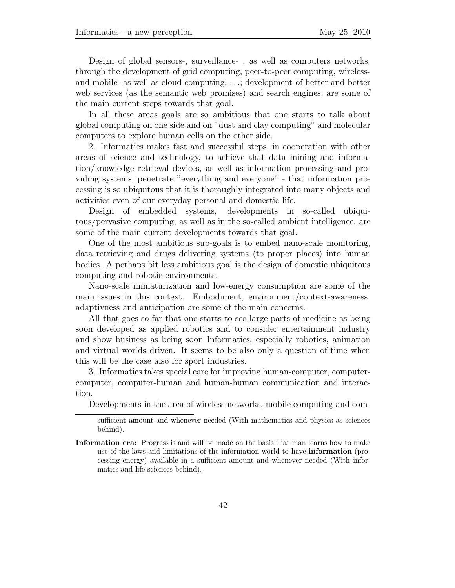Design of global sensors-, surveillance- , as well as computers networks, through the development of grid computing, peer-to-peer computing, wirelessand mobile- as well as cloud computing, *...*; development of better and better web services (as the semantic web promises) and search engines, are some of the main current steps towards that goal.

In all these areas goals are so ambitious that one starts to talk about global computing on one side and on "dust and clay computing" and molecular computers to explore human cells on the other side.

2. Informatics makes fast and successful steps, in cooperation with other areas of science and technology, to achieve that data mining and information/knowledge retrieval devices, as well as information processing and providing systems, penetrate "everything and everyone" - that information processing is so ubiquitous that it is thoroughly integrated into many objects and activities even of our everyday personal and domestic life.

Design of embedded systems, developments in so-called ubiquitous/pervasive computing, as well as in the so-called ambient intelligence, are some of the main current developments towards that goal.

One of the most ambitious sub-goals is to embed nano-scale monitoring, data retrieving and drugs delivering systems (to proper places) into human bodies. A perhaps bit less ambitious goal is the design of domestic ubiquitous computing and robotic environments.

Nano-scale miniaturization and low-energy consumption are some of the main issues in this context. Embodiment, environment/context-awareness, adaptivness and anticipation are some of the main concerns.

All that goes so far that one starts to see large parts of medicine as being soon developed as applied robotics and to consider entertainment industry and show business as being soon Informatics, especially robotics, animation and virtual worlds driven. It seems to be also only a question of time when this will be the case also for sport industries.

3. Informatics takes special care for improving human-computer, computercomputer, computer-human and human-human communication and interaction.

Developments in the area of wireless networks, mobile computing and com-

sufficient amount and whenever needed (With mathematics and physics as sciences behind).

**Information era:** Progress is and will be made on the basis that man learns how to make use of the laws and limitations of the information world to have **information** (processing energy) available in a sufficient amount and whenever needed (With informatics and life sciences behind).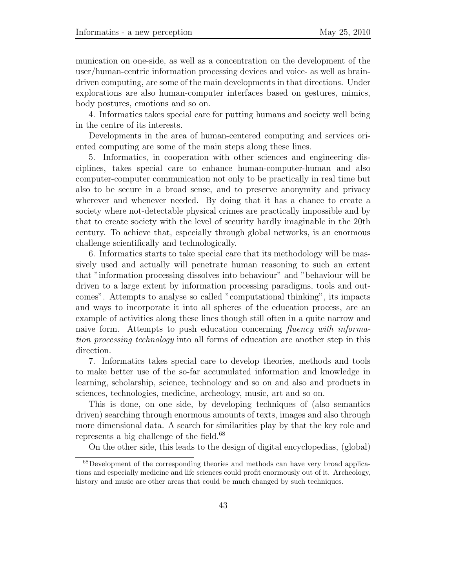munication on one-side, as well as a concentration on the development of the user/human-centric information processing devices and voice- as well as braindriven computing, are some of the main developments in that directions. Under explorations are also human-computer interfaces based on gestures, mimics, body postures, emotions and so on.

4. Informatics takes special care for putting humans and society well being in the centre of its interests.

Developments in the area of human-centered computing and services oriented computing are some of the main steps along these lines.

5. Informatics, in cooperation with other sciences and engineering disciplines, takes special care to enhance human-computer-human and also computer-computer communication not only to be practically in real time but also to be secure in a broad sense, and to preserve anonymity and privacy wherever and whenever needed. By doing that it has a chance to create a society where not-detectable physical crimes are practically impossible and by that to create society with the level of security hardly imaginable in the 20th century. To achieve that, especially through global networks, is an enormous challenge scientifically and technologically.

6. Informatics starts to take special care that its methodology will be massively used and actually will penetrate human reasoning to such an extent that "information processing dissolves into behaviour" and "behaviour will be driven to a large extent by information processing paradigms, tools and outcomes". Attempts to analyse so called "computational thinking", its impacts and ways to incorporate it into all spheres of the education process, are an example of activities along these lines though still often in a quite narrow and naive form. Attempts to push education concerning *fluency with information processing technology* into all forms of education are another step in this direction.

7. Informatics takes special care to develop theories, methods and tools to make better use of the so-far accumulated information and knowledge in learning, scholarship, science, technology and so on and also and products in sciences, technologies, medicine, archeology, music, art and so on.

This is done, on one side, by developing techniques of (also semantics driven) searching through enormous amounts of texts, images and also through more dimensional data. A search for similarities play by that the key role and represents a big challenge of the field.<sup>68</sup>

On the other side, this leads to the design of digital encyclopedias, (global)

<sup>68</sup>Development of the corresponding theories and methods can have very broad applications and especially medicine and life sciences could profit enormously out of it. Archeology, history and music are other areas that could be much changed by such techniques.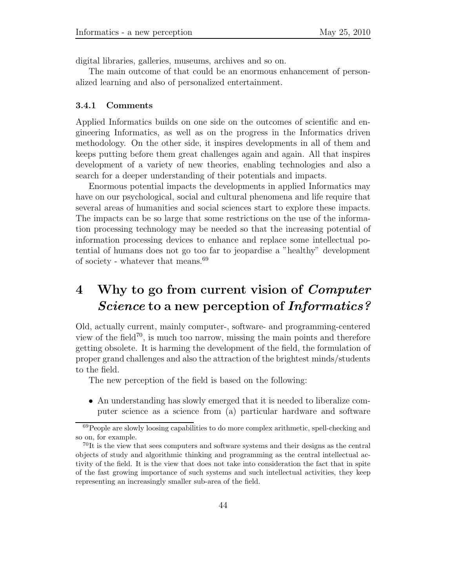digital libraries, galleries, museums, archives and so on.

The main outcome of that could be an enormous enhancement of personalized learning and also of personalized entertainment.

#### **3.4.1 Comments**

Applied Informatics builds on one side on the outcomes of scientific and engineering Informatics, as well as on the progress in the Informatics driven methodology. On the other side, it inspires developments in all of them and keeps putting before them great challenges again and again. All that inspires development of a variety of new theories, enabling technologies and also a search for a deeper understanding of their potentials and impacts.

Enormous potential impacts the developments in applied Informatics may have on our psychological, social and cultural phenomena and life require that several areas of humanities and social sciences start to explore these impacts. The impacts can be so large that some restrictions on the use of the information processing technology may be needed so that the increasing potential of information processing devices to enhance and replace some intellectual potential of humans does not go too far to jeopardise a "healthy" development of society - whatever that means.<sup>69</sup>

# **4 Why to go from current vision of** *Computer Science* **to a new perception of** *Informatics?*

Old, actually current, mainly computer-, software- and programming-centered view of the field<sup>70</sup>, is much too narrow, missing the main points and therefore getting obsolete. It is harming the development of the field, the formulation of proper grand challenges and also the attraction of the brightest minds/students to the field.

The new perception of the field is based on the following:

• An understanding has slowly emerged that it is needed to liberalize computer science as a science from (a) particular hardware and software

<sup>69</sup>People are slowly loosing capabilities to do more complex arithmetic, spell-checking and so on, for example.

 $^{70}$ It is the view that sees computers and software systems and their designs as the central objects of study and algorithmic thinking and programming as the central intellectual activity of the field. It is the view that does not take into consideration the fact that in spite of the fast growing importance of such systems and such intellectual activities, they keep representing an increasingly smaller sub-area of the field.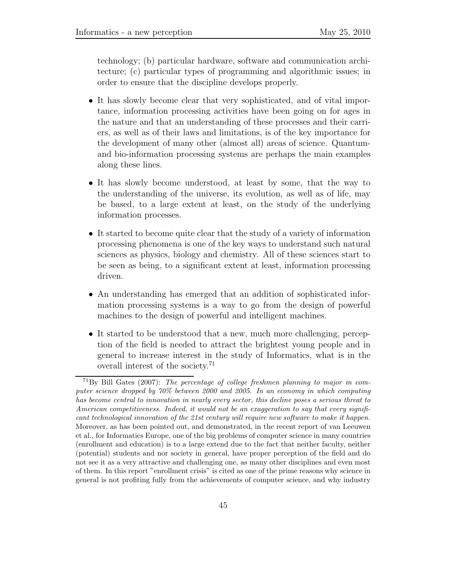technology; (b) particular hardware, software and communication architecture; (c) particular types of programming and algorithmic issues; in order to ensure that the discipline develops properly.

- It has slowly become clear that very sophisticated, and of vital importance, information processing activities have been going on for ages in the nature and that an understanding of these processes and their carriers, as well as of their laws and limitations, is of the key importance for the development of many other (almost all) areas of science. Quantumand bio-information processing systems are perhaps the main examples along these lines.
- *•* It has slowly become understood, at least by some, that the way to the understanding of the universe, its evolution, as well as of life, may be based, to a large extent at least, on the study of the underlying information processes.
- It started to become quite clear that the study of a variety of information processing phenomena is one of the key ways to understand such natural sciences as physics, biology and chemistry. All of these sciences start to be seen as being, to a significant extent at least, information processing driven.
- An understanding has emerged that an addition of sophisticated information processing systems is a way to go from the design of powerful machines to the design of powerful and intelligent machines.
- It started to be understood that a new, much more challenging, perception of the field is needed to attract the brightest young people and in general to increase interest in the study of Informatics, what is in the overall interest of the society.<sup>71</sup>

<sup>71</sup>By Bill Gates (2007): *The percentage of college freshmen planning to major in computer science dropped by 70% between 2000 and 2005. In an economy in which computing has become central to innovation in nearly every sector, this decline poses a serious threat to American competitiveness. Indeed, it would not be an exaggeration to say that every significant technological innovation of the 21st century will require new software to make it happen.* Moreover, as has been pointed out, and demonstrated, in the recent report of van Leeuwen et al., for Informatics Europe, one of the big problems of computer science in many countries (enrollment and education) is to a large extend due to the fact that neither faculty, neither (potential) students and nor society in general, have proper perception of the field and do not see it as a very attractive and challenging one, as many other disciplines and even most of them. In this report "enrollment crisis" is cited as one of the prime reasons why science in general is not profiting fully from the achievements of computer science, and why industry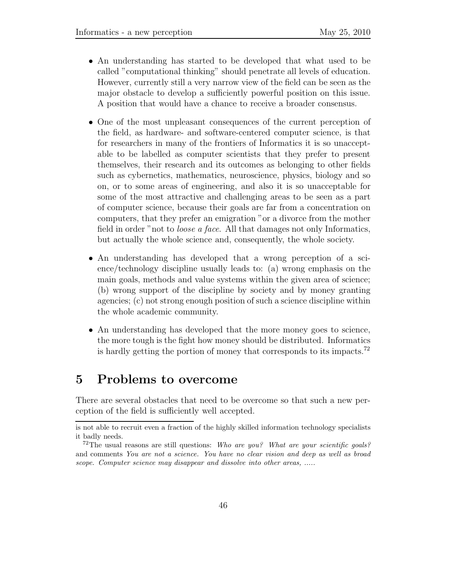- *•* An understanding has started to be developed that what used to be called "computational thinking" should penetrate all levels of education. However, currently still a very narrow view of the field can be seen as the major obstacle to develop a sufficiently powerful position on this issue. A position that would have a chance to receive a broader consensus.
- One of the most unpleasant consequences of the current perception of the field, as hardware- and software-centered computer science, is that for researchers in many of the frontiers of Informatics it is so unacceptable to be labelled as computer scientists that they prefer to present themselves, their research and its outcomes as belonging to other fields such as cybernetics, mathematics, neuroscience, physics, biology and so on, or to some areas of engineering, and also it is so unacceptable for some of the most attractive and challenging areas to be seen as a part of computer science, because their goals are far from a concentration on computers, that they prefer an emigration "or a divorce from the mother field in order "not to *loose a face*. All that damages not only Informatics, but actually the whole science and, consequently, the whole society.
- *•* An understanding has developed that a wrong perception of a science/technology discipline usually leads to: (a) wrong emphasis on the main goals, methods and value systems within the given area of science; (b) wrong support of the discipline by society and by money granting agencies; (c) not strong enough position of such a science discipline within the whole academic community.
- An understanding has developed that the more money goes to science, the more tough is the fight how money should be distributed. Informatics is hardly getting the portion of money that corresponds to its impacts.<sup>72</sup>

## **5 Problems to overcome**

There are several obstacles that need to be overcome so that such a new perception of the field is sufficiently well accepted.

is not able to recruit even a fraction of the highly skilled information technology specialists it badly needs.

<sup>72</sup>The usual reasons are still questions: *Who are you? What are your scientific goals?* and comments *You are not a science. You have no clear vision and deep as well as broad scope. Computer science may disappear and dissolve into other areas, .....*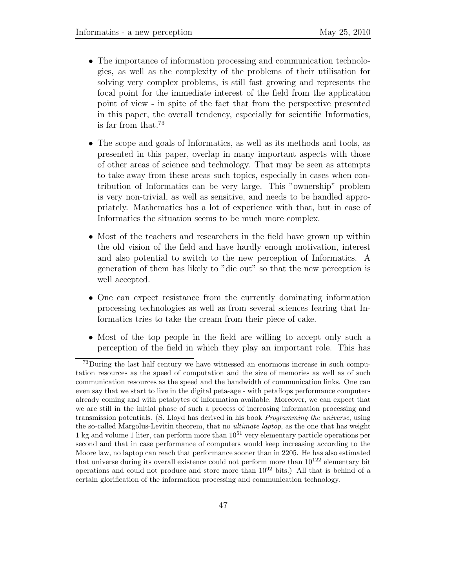- The importance of information processing and communication technologies, as well as the complexity of the problems of their utilisation for solving very complex problems, is still fast growing and represents the focal point for the immediate interest of the field from the application point of view - in spite of the fact that from the perspective presented in this paper, the overall tendency, especially for scientific Informatics, is far from that.<sup>73</sup>
- The scope and goals of Informatics, as well as its methods and tools, as presented in this paper, overlap in many important aspects with those of other areas of science and technology. That may be seen as attempts to take away from these areas such topics, especially in cases when contribution of Informatics can be very large. This "ownership" problem is very non-trivial, as well as sensitive, and needs to be handled appropriately. Mathematics has a lot of experience with that, but in case of Informatics the situation seems to be much more complex.
- Most of the teachers and researchers in the field have grown up within the old vision of the field and have hardly enough motivation, interest and also potential to switch to the new perception of Informatics. A generation of them has likely to "die out" so that the new perception is well accepted.
- One can expect resistance from the currently dominating information processing technologies as well as from several sciences fearing that Informatics tries to take the cream from their piece of cake.
- *•* Most of the top people in the field are willing to accept only such a perception of the field in which they play an important role. This has

<sup>&</sup>lt;sup>73</sup>During the last half century we have witnessed an enormous increase in such computation resources as the speed of computation and the size of memories as well as of such communication resources as the speed and the bandwidth of communication links. One can even say that we start to live in the digital peta-age - with petaflops performance computers already coming and with petabytes of information available. Moreover, we can expect that we are still in the initial phase of such a process of increasing information processing and transmission potentials. (S. Lloyd has derived in his book *Programming the universe*, using the so-called Margolus-Levitin theorem, that no *ultimate laptop*, as the one that has weight 1 kg and volume 1 liter, can perform more than  $10^{51}$  very elementary particle operations per second and that in case performance of computers would keep increasing according to the Moore law, no laptop can reach that performance sooner than in 2205. He has also estimated that universe during its overall existence could not perform more than  $10^{122}$  elementary bit operations and could not produce and store more than  $10^{92}$  bits.) All that is behind of a certain glorification of the information processing and communication technology.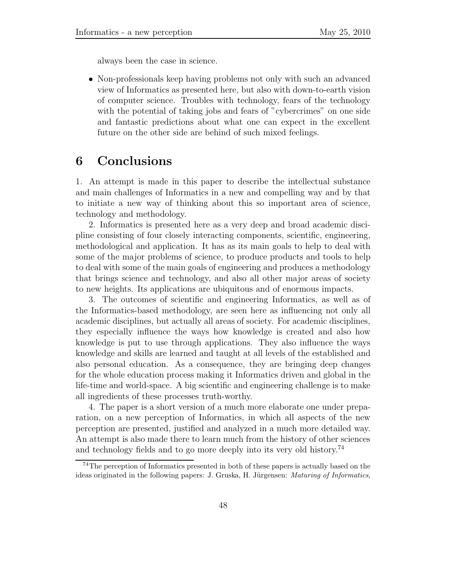always been the case in science.

• Non-professionals keep having problems not only with such an advanced view of Informatics as presented here, but also with down-to-earth vision of computer science. Troubles with technology, fears of the technology with the potential of taking jobs and fears of "cybercrimes" on one side and fantastic predictions about what one can expect in the excellent future on the other side are behind of such mixed feelings.

## **6 Conclusions**

1. An attempt is made in this paper to describe the intellectual substance and main challenges of Informatics in a new and compelling way and by that to initiate a new way of thinking about this so important area of science, technology and methodology.

2. Informatics is presented here as a very deep and broad academic discipline consisting of four closely interacting components, scientific, engineering, methodological and application. It has as its main goals to help to deal with some of the major problems of science, to produce products and tools to help to deal with some of the main goals of engineering and produces a methodology that brings science and technology, and also all other major areas of society to new heights. Its applications are ubiquitous and of enormous impacts.

3. The outcomes of scientific and engineering Informatics, as well as of the Informatics-based methodology, are seen here as influencing not only all academic disciplines, but actually all areas of society. For academic disciplines, they especially influence the ways how knowledge is created and also how knowledge is put to use through applications. They also influence the ways knowledge and skills are learned and taught at all levels of the established and also personal education. As a consequence, they are bringing deep changes for the whole education process making it Informatics driven and global in the life-time and world-space. A big scientific and engineering challenge is to make all ingredients of these processes truth-worthy.

4. The paper is a short version of a much more elaborate one under preparation, on a new perception of Informatics, in which all aspects of the new perception are presented, justified and analyzed in a much more detailed way. An attempt is also made there to learn much from the history of other sciences and technology fields and to go more deeply into its very old history.<sup>74</sup>

<sup>74</sup>The perception of Informatics presented in both of these papers is actually based on the ideas originated in the following papers: J. Gruska, H. Jürgensen: *Maturing of Informatics*,